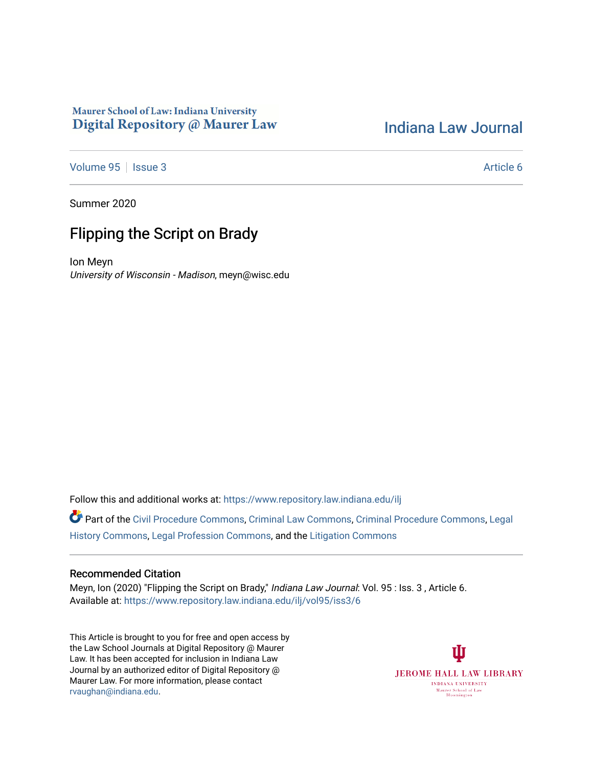# Maurer School of Law: Indiana University Digital Repository @ Maurer Law

# [Indiana Law Journal](https://www.repository.law.indiana.edu/ilj)

[Volume 95](https://www.repository.law.indiana.edu/ilj/vol95) | [Issue 3](https://www.repository.law.indiana.edu/ilj/vol95/iss3) Article 6

Summer 2020

# Flipping the Script on Brady

Ion Meyn University of Wisconsin - Madison, meyn@wisc.edu

Follow this and additional works at: [https://www.repository.law.indiana.edu/ilj](https://www.repository.law.indiana.edu/ilj?utm_source=www.repository.law.indiana.edu%2Filj%2Fvol95%2Fiss3%2F6&utm_medium=PDF&utm_campaign=PDFCoverPages) 

Part of the [Civil Procedure Commons,](http://network.bepress.com/hgg/discipline/584?utm_source=www.repository.law.indiana.edu%2Filj%2Fvol95%2Fiss3%2F6&utm_medium=PDF&utm_campaign=PDFCoverPages) [Criminal Law Commons](http://network.bepress.com/hgg/discipline/912?utm_source=www.repository.law.indiana.edu%2Filj%2Fvol95%2Fiss3%2F6&utm_medium=PDF&utm_campaign=PDFCoverPages), [Criminal Procedure Commons](http://network.bepress.com/hgg/discipline/1073?utm_source=www.repository.law.indiana.edu%2Filj%2Fvol95%2Fiss3%2F6&utm_medium=PDF&utm_campaign=PDFCoverPages), [Legal](http://network.bepress.com/hgg/discipline/904?utm_source=www.repository.law.indiana.edu%2Filj%2Fvol95%2Fiss3%2F6&utm_medium=PDF&utm_campaign=PDFCoverPages)  [History Commons](http://network.bepress.com/hgg/discipline/904?utm_source=www.repository.law.indiana.edu%2Filj%2Fvol95%2Fiss3%2F6&utm_medium=PDF&utm_campaign=PDFCoverPages), [Legal Profession Commons,](http://network.bepress.com/hgg/discipline/1075?utm_source=www.repository.law.indiana.edu%2Filj%2Fvol95%2Fiss3%2F6&utm_medium=PDF&utm_campaign=PDFCoverPages) and the [Litigation Commons](http://network.bepress.com/hgg/discipline/910?utm_source=www.repository.law.indiana.edu%2Filj%2Fvol95%2Fiss3%2F6&utm_medium=PDF&utm_campaign=PDFCoverPages) 

# Recommended Citation

Meyn, Ion (2020) "Flipping the Script on Brady," Indiana Law Journal: Vol. 95 : Iss. 3 , Article 6. Available at: [https://www.repository.law.indiana.edu/ilj/vol95/iss3/6](https://www.repository.law.indiana.edu/ilj/vol95/iss3/6?utm_source=www.repository.law.indiana.edu%2Filj%2Fvol95%2Fiss3%2F6&utm_medium=PDF&utm_campaign=PDFCoverPages) 

This Article is brought to you for free and open access by the Law School Journals at Digital Repository @ Maurer Law. It has been accepted for inclusion in Indiana Law Journal by an authorized editor of Digital Repository @ Maurer Law. For more information, please contact [rvaughan@indiana.edu.](mailto:rvaughan@indiana.edu)

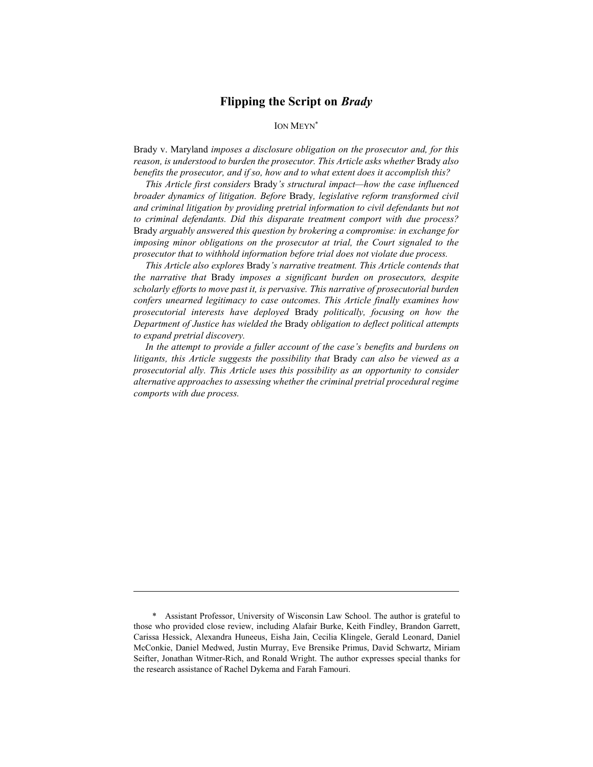# Flipping the Script on Brady

# ION MEYN\*

Brady v. Maryland imposes a disclosure obligation on the prosecutor and, for this reason, is understood to burden the prosecutor. This Article asks whether Brady also benefits the prosecutor, and if so, how and to what extent does it accomplish this?

This Article first considers Brady's structural impact—how the case influenced broader dynamics of litigation. Before Brady, legislative reform transformed civil and criminal litigation by providing pretrial information to civil defendants but not to criminal defendants. Did this disparate treatment comport with due process? Brady arguably answered this question by brokering a compromise: in exchange for imposing minor obligations on the prosecutor at trial, the Court signaled to the prosecutor that to withhold information before trial does not violate due process.

This Article also explores Brady's narrative treatment. This Article contends that the narrative that Brady imposes a significant burden on prosecutors, despite scholarly efforts to move past it, is pervasive. This narrative of prosecutorial burden confers unearned legitimacy to case outcomes. This Article finally examines how prosecutorial interests have deployed Brady politically, focusing on how the Department of Justice has wielded the Brady obligation to deflect political attempts to expand pretrial discovery.

In the attempt to provide a fuller account of the case's benefits and burdens on litigants, this Article suggests the possibility that Brady can also be viewed as a prosecutorial ally. This Article uses this possibility as an opportunity to consider alternative approaches to assessing whether the criminal pretrial procedural regime comports with due process.

 <sup>\*</sup> Assistant Professor, University of Wisconsin Law School. The author is grateful to those who provided close review, including Alafair Burke, Keith Findley, Brandon Garrett, Carissa Hessick, Alexandra Huneeus, Eisha Jain, Cecilia Klingele, Gerald Leonard, Daniel McConkie, Daniel Medwed, Justin Murray, Eve Brensike Primus, David Schwartz, Miriam Seifter, Jonathan Witmer-Rich, and Ronald Wright. The author expresses special thanks for the research assistance of Rachel Dykema and Farah Famouri.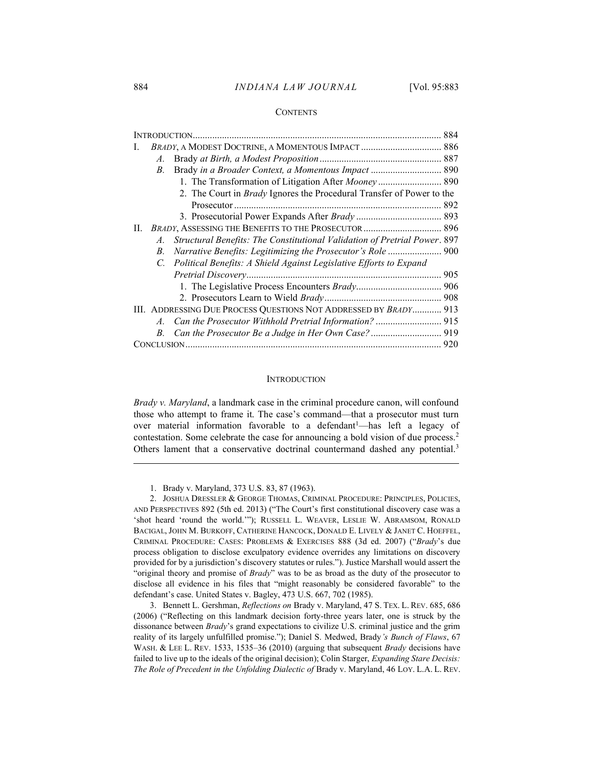#### 884 INDIANA LAW JOURNAL [Vol. 95:883]

#### **CONTENTS**

| A.                                                                              |  |
|---------------------------------------------------------------------------------|--|
| Brady in a Broader Context, a Momentous Impact  890<br>В.                       |  |
| 1. The Transformation of Litigation After Mooney 890                            |  |
| 2. The Court in <i>Brady</i> Ignores the Procedural Transfer of Power to the    |  |
|                                                                                 |  |
|                                                                                 |  |
| BRADY, ASSESSING THE BENEFITS TO THE PROSECUTOR  896<br>П.                      |  |
| Structural Benefits: The Constitutional Validation of Pretrial Power. 897<br>A. |  |
| Narrative Benefits: Legitimizing the Prosecutor's Role  900<br>В.               |  |
| Political Benefits: A Shield Against Legislative Efforts to Expand<br>C.        |  |
|                                                                                 |  |
|                                                                                 |  |
|                                                                                 |  |
| III. ADDRESSING DUE PROCESS QUESTIONS NOT ADDRESSED BY BRADY 913                |  |
| A.                                                                              |  |
| В.                                                                              |  |
|                                                                                 |  |

#### **INTRODUCTION**

Brady v. Maryland, a landmark case in the criminal procedure canon, will confound those who attempt to frame it. The case's command—that a prosecutor must turn over material information favorable to a defendant<sup>1</sup>-has left a legacy of contestation. Some celebrate the case for announcing a bold vision of due process.<sup>2</sup> Others lament that a conservative doctrinal countermand dashed any potential.<sup>3</sup>

1. Brady v. Maryland, 373 U.S. 83, 87 (1963).

 2. JOSHUA DRESSLER & GEORGE THOMAS, CRIMINAL PROCEDURE: PRINCIPLES, POLICIES, AND PERSPECTIVES 892 (5th ed. 2013) ("The Court's first constitutional discovery case was a 'shot heard 'round the world.'"); RUSSELL L. WEAVER, LESLIE W. ABRAMSOM, RONALD BACIGAL, JOHN M. BURKOFF, CATHERINE HANCOCK, DONALD E. LIVELY & JANET C. HOEFFEL, CRIMINAL PROCEDURE: CASES: PROBLEMS & EXERCISES 888 (3d ed. 2007) ("Brady's due process obligation to disclose exculpatory evidence overrides any limitations on discovery provided for by a jurisdiction's discovery statutes or rules."). Justice Marshall would assert the "original theory and promise of Brady" was to be as broad as the duty of the prosecutor to disclose all evidence in his files that "might reasonably be considered favorable" to the defendant's case. United States v. Bagley, 473 U.S. 667, 702 (1985).

 3. Bennett L. Gershman, Reflections on Brady v. Maryland, 47 S. TEX. L. REV. 685, 686 (2006) ("Reflecting on this landmark decision forty-three years later, one is struck by the dissonance between Brady's grand expectations to civilize U.S. criminal justice and the grim reality of its largely unfulfilled promise."); Daniel S. Medwed, Brady's Bunch of Flaws, 67 WASH. & LEE L. REV. 1533, 1535-36 (2010) (arguing that subsequent Brady decisions have failed to live up to the ideals of the original decision); Colin Starger, *Expanding Stare Decisis:* The Role of Precedent in the Unfolding Dialectic of Brady v. Maryland, 46 LOY. L.A. L. REV.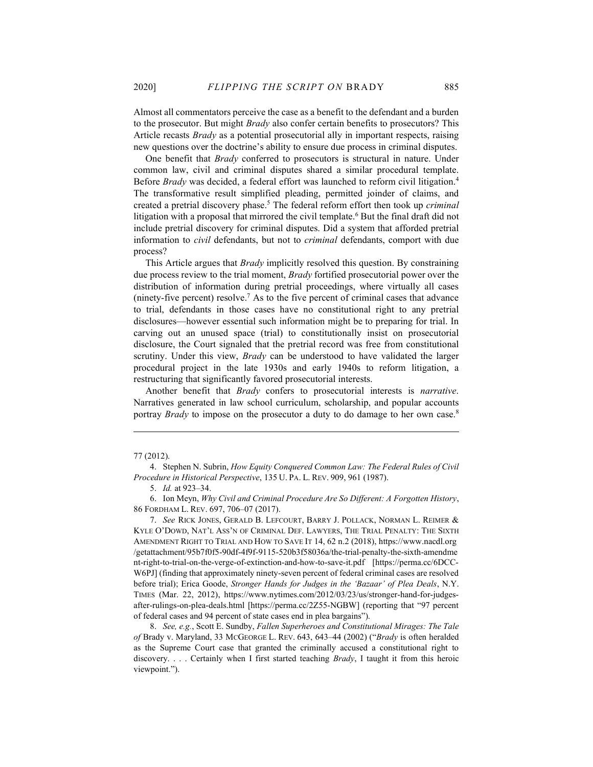Almost all commentators perceive the case as a benefit to the defendant and a burden to the prosecutor. But might *Brady* also confer certain benefits to prosecutors? This Article recasts *Brady* as a potential prosecutorial ally in important respects, raising new questions over the doctrine's ability to ensure due process in criminal disputes.

One benefit that Brady conferred to prosecutors is structural in nature. Under common law, civil and criminal disputes shared a similar procedural template. Before *Brady* was decided, a federal effort was launched to reform civil litigation.<sup>4</sup> The transformative result simplified pleading, permitted joinder of claims, and created a pretrial discovery phase.<sup>5</sup> The federal reform effort then took up *criminal* litigation with a proposal that mirrored the civil template.<sup>6</sup> But the final draft did not include pretrial discovery for criminal disputes. Did a system that afforded pretrial information to *civil* defendants, but not to *criminal* defendants, comport with due process?

This Article argues that *Brady* implicitly resolved this question. By constraining due process review to the trial moment, *Brady* fortified prosecutorial power over the distribution of information during pretrial proceedings, where virtually all cases (ninety-five percent) resolve.<sup>7</sup> As to the five percent of criminal cases that advance to trial, defendants in those cases have no constitutional right to any pretrial disclosures—however essential such information might be to preparing for trial. In carving out an unused space (trial) to constitutionally insist on prosecutorial disclosure, the Court signaled that the pretrial record was free from constitutional scrutiny. Under this view, Brady can be understood to have validated the larger procedural project in the late 1930s and early 1940s to reform litigation, a restructuring that significantly favored prosecutorial interests.

Another benefit that Brady confers to prosecutorial interests is narrative. Narratives generated in law school curriculum, scholarship, and popular accounts portray *Brady* to impose on the prosecutor a duty to do damage to her own case.<sup>8</sup>

 8. See, e.g., Scott E. Sundby, Fallen Superheroes and Constitutional Mirages: The Tale of Brady v. Maryland, 33 MCGEORGE L. REV. 643, 643–44 (2002) ("Brady is often heralded as the Supreme Court case that granted the criminally accused a constitutional right to discovery. . . . Certainly when I first started teaching *Brady*, I taught it from this heroic viewpoint.").

<sup>77 (2012).</sup> 

<sup>4.</sup> Stephen N. Subrin, How Equity Conquered Common Law: The Federal Rules of Civil Procedure in Historical Perspective, 135 U. PA. L. REV. 909, 961 (1987).

<sup>5.</sup> *Id.* at 923-34.

 <sup>6.</sup> Ion Meyn, Why Civil and Criminal Procedure Are So Different: A Forgotten History, 86 FORDHAM L. REV. 697, 706–07 (2017).

 <sup>7.</sup> See RICK JONES, GERALD B. LEFCOURT, BARRY J. POLLACK, NORMAN L. REIMER & KYLE O'DOWD, NAT'L ASS'N OF CRIMINAL DEF. LAWYERS, THE TRIAL PENALTY: THE SIXTH AMENDMENT RIGHT TO TRIAL AND HOW TO SAVE IT 14, 62 n.2 (2018), https://www.nacdl.org /getattachment/95b7f0f5-90df-4f9f-9115-520b3f58036a/the-trial-penalty-the-sixth-amendme nt-right-to-trial-on-the-verge-of-extinction-and-how-to-save-it.pdf [https://perma.cc/6DCC-W6PJ] (finding that approximately ninety-seven percent of federal criminal cases are resolved before trial); Erica Goode, Stronger Hands for Judges in the 'Bazaar' of Plea Deals, N.Y. TIMES (Mar. 22, 2012), https://www.nytimes.com/2012/03/23/us/stronger-hand-for-judgesafter-rulings-on-plea-deals.html [https://perma.cc/2Z55-NGBW] (reporting that "97 percent of federal cases and 94 percent of state cases end in plea bargains").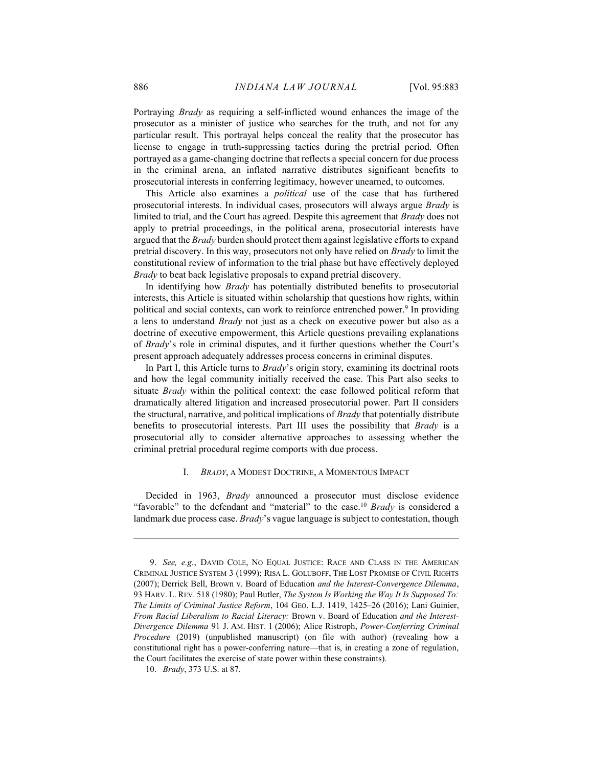Portraying Brady as requiring a self-inflicted wound enhances the image of the prosecutor as a minister of justice who searches for the truth, and not for any particular result. This portrayal helps conceal the reality that the prosecutor has license to engage in truth-suppressing tactics during the pretrial period. Often portrayed as a game-changing doctrine that reflects a special concern for due process in the criminal arena, an inflated narrative distributes significant benefits to prosecutorial interests in conferring legitimacy, however unearned, to outcomes.

This Article also examines a *political* use of the case that has furthered prosecutorial interests. In individual cases, prosecutors will always argue Brady is limited to trial, and the Court has agreed. Despite this agreement that Brady does not apply to pretrial proceedings, in the political arena, prosecutorial interests have argued that the Brady burden should protect them against legislative efforts to expand pretrial discovery. In this way, prosecutors not only have relied on Brady to limit the constitutional review of information to the trial phase but have effectively deployed Brady to beat back legislative proposals to expand pretrial discovery.

In identifying how *Brady* has potentially distributed benefits to prosecutorial interests, this Article is situated within scholarship that questions how rights, within political and social contexts, can work to reinforce entrenched power.<sup>9</sup> In providing a lens to understand Brady not just as a check on executive power but also as a doctrine of executive empowerment, this Article questions prevailing explanations of Brady's role in criminal disputes, and it further questions whether the Court's present approach adequately addresses process concerns in criminal disputes.

In Part I, this Article turns to Brady's origin story, examining its doctrinal roots and how the legal community initially received the case. This Part also seeks to situate Brady within the political context: the case followed political reform that dramatically altered litigation and increased prosecutorial power. Part II considers the structural, narrative, and political implications of *Brady* that potentially distribute benefits to prosecutorial interests. Part III uses the possibility that *Brady* is a prosecutorial ally to consider alternative approaches to assessing whether the criminal pretrial procedural regime comports with due process.

#### I. BRADY, A MODEST DOCTRINE, A MOMENTOUS IMPACT

Decided in 1963, Brady announced a prosecutor must disclose evidence "favorable" to the defendant and "material" to the case.<sup>10</sup> Brady is considered a landmark due process case. *Brady's* vague language is subject to contestation, though

 <sup>9.</sup> See, e.g., DAVID COLE, NO EQUAL JUSTICE: RACE AND CLASS IN THE AMERICAN CRIMINAL JUSTICE SYSTEM 3 (1999); RISA L. GOLUBOFF, THE LOST PROMISE OF CIVIL RIGHTS (2007); Derrick Bell, Brown v. Board of Education and the Interest-Convergence Dilemma, 93 HARV. L. REV. 518 (1980); Paul Butler, The System Is Working the Way It Is Supposed To: The Limits of Criminal Justice Reform, 104 GEO. L.J. 1419, 1425–26 (2016); Lani Guinier, From Racial Liberalism to Racial Literacy: Brown v. Board of Education and the Interest-Divergence Dilemma 91 J. AM. HIST. 1 (2006); Alice Ristroph, Power-Conferring Criminal Procedure (2019) (unpublished manuscript) (on file with author) (revealing how a constitutional right has a power-conferring nature—that is, in creating a zone of regulation, the Court facilitates the exercise of state power within these constraints).

 <sup>10.</sup> Brady, 373 U.S. at 87.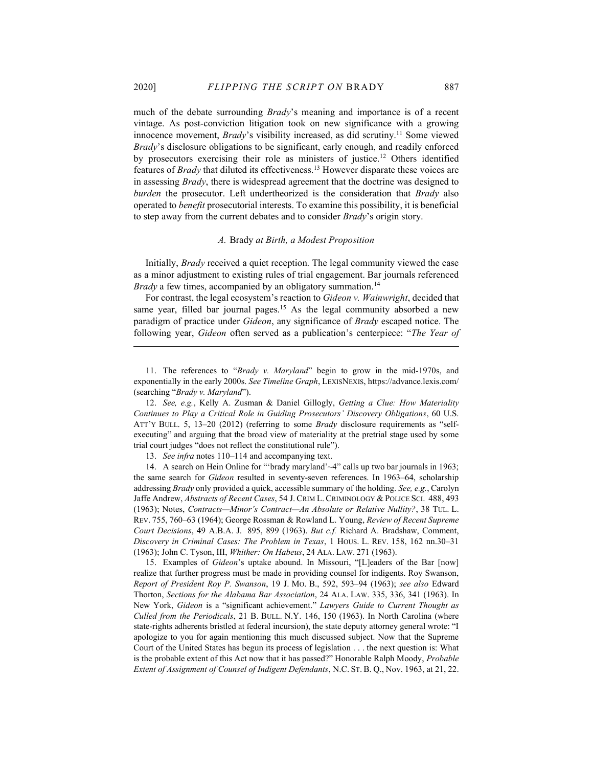much of the debate surrounding *Brady*'s meaning and importance is of a recent vintage. As post-conviction litigation took on new significance with a growing innocence movement, *Brady*'s visibility increased, as did scrutiny.<sup>11</sup> Some viewed Brady's disclosure obligations to be significant, early enough, and readily enforced by prosecutors exercising their role as ministers of justice.<sup>12</sup> Others identified features of Brady that diluted its effectiveness.<sup>13</sup> However disparate these voices are in assessing Brady, there is widespread agreement that the doctrine was designed to burden the prosecutor. Left undertheorized is the consideration that *Brady* also operated to benefit prosecutorial interests. To examine this possibility, it is beneficial to step away from the current debates and to consider *Brady*'s origin story.

### A. Brady at Birth, a Modest Proposition

Initially, Brady received a quiet reception. The legal community viewed the case as a minor adjustment to existing rules of trial engagement. Bar journals referenced *Brady* a few times, accompanied by an obligatory summation.<sup>14</sup>

For contrast, the legal ecosystem's reaction to Gideon v. Wainwright, decided that same year, filled bar journal pages.<sup>15</sup> As the legal community absorbed a new paradigm of practice under Gideon, any significance of Brady escaped notice. The following year, Gideon often served as a publication's centerpiece: "The Year of

13. See infra notes 110–114 and accompanying text.

 14. A search on Hein Online for "'brady maryland'~4" calls up two bar journals in 1963; the same search for Gideon resulted in seventy-seven references. In 1963–64, scholarship addressing *Brady* only provided a quick, accessible summary of the holding. See, e.g., Carolyn Jaffe Andrew, Abstracts of Recent Cases, 54 J. CRIM L. CRIMINOLOGY & POLICE SCI. 488, 493 (1963); Notes, Contracts—Minor's Contract—An Absolute or Relative Nullity?, 38 TUL. L. REV. 755, 760–63 (1964); George Rossman & Rowland L. Young, Review of Recent Supreme Court Decisions, 49 A.B.A. J. 895, 899 (1963). But c.f. Richard A. Bradshaw, Comment, Discovery in Criminal Cases: The Problem in Texas, 1 HOUS. L. REV. 158, 162 nn.30–31 (1963); John C. Tyson, III, Whither: On Habeus, 24 ALA. LAW. 271 (1963).

 15. Examples of Gideon's uptake abound. In Missouri, "[L]eaders of the Bar [now] realize that further progress must be made in providing counsel for indigents. Roy Swanson, Report of President Roy P. Swanson, 19 J. MO. B., 592, 593–94 (1963); see also Edward Thorton, Sections for the Alabama Bar Association, 24 ALA. LAW. 335, 336, 341 (1963). In New York, Gideon is a "significant achievement." Lawyers Guide to Current Thought as Culled from the Periodicals, 21 B. BULL. N.Y. 146, 150 (1963). In North Carolina (where state-rights adherents bristled at federal incursion), the state deputy attorney general wrote: "I apologize to you for again mentioning this much discussed subject. Now that the Supreme Court of the United States has begun its process of legislation . . . the next question is: What is the probable extent of this Act now that it has passed?" Honorable Ralph Moody, Probable Extent of Assignment of Counsel of Indigent Defendants, N.C. ST. B. Q., Nov. 1963, at 21, 22.

 <sup>11.</sup> The references to "Brady v. Maryland" begin to grow in the mid-1970s, and exponentially in the early 2000s. See Timeline Graph, LEXISNEXIS, https://advance.lexis.com/ (searching "Brady v. Maryland").

 <sup>12.</sup> See, e.g., Kelly A. Zusman & Daniel Gillogly, Getting a Clue: How Materiality Continues to Play a Critical Role in Guiding Prosecutors' Discovery Obligations, 60 U.S. ATT'Y BULL. 5, 13–20 (2012) (referring to some *Brady* disclosure requirements as "selfexecuting" and arguing that the broad view of materiality at the pretrial stage used by some trial court judges "does not reflect the constitutional rule").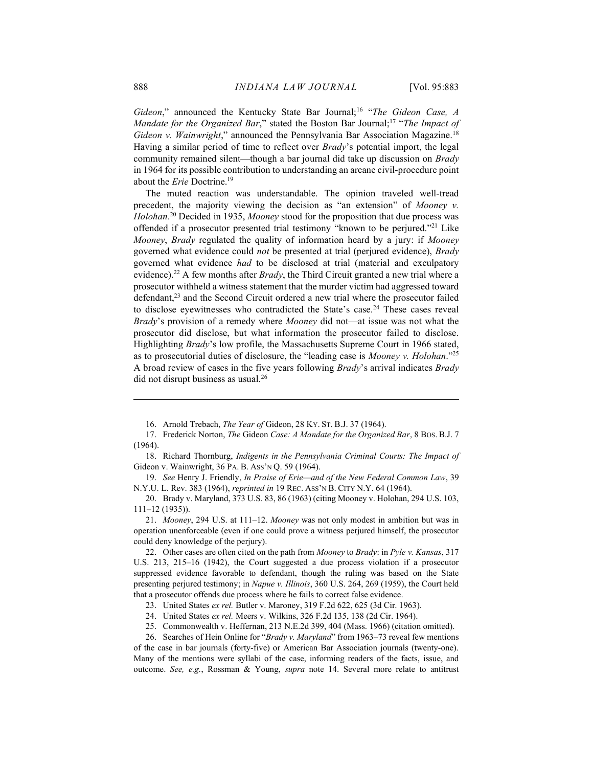Gideon," announced the Kentucky State Bar Journal;<sup>16</sup> "The Gideon Case, A Mandate for the Organized Bar," stated the Boston Bar Journal;<sup>17</sup> "The Impact of Gideon v. Wainwright," announced the Pennsylvania Bar Association Magazine.<sup>18</sup> Having a similar period of time to reflect over Brady's potential import, the legal community remained silent—though a bar journal did take up discussion on Brady in 1964 for its possible contribution to understanding an arcane civil-procedure point about the *Erie* Doctrine.<sup>19</sup>

The muted reaction was understandable. The opinion traveled well-tread precedent, the majority viewing the decision as "an extension" of Mooney v. Holohan.<sup>20</sup> Decided in 1935, Mooney stood for the proposition that due process was offended if a prosecutor presented trial testimony "known to be perjured."<sup>21</sup> Like Mooney, Brady regulated the quality of information heard by a jury: if Mooney governed what evidence could *not* be presented at trial (perjured evidence), *Brady* governed what evidence had to be disclosed at trial (material and exculpatory evidence).<sup>22</sup> A few months after *Brady*, the Third Circuit granted a new trial where a prosecutor withheld a witness statement that the murder victim had aggressed toward defendant,<sup>23</sup> and the Second Circuit ordered a new trial where the prosecutor failed to disclose eyewitnesses who contradicted the State's case.<sup>24</sup> These cases reveal Brady's provision of a remedy where Mooney did not—at issue was not what the prosecutor did disclose, but what information the prosecutor failed to disclose. Highlighting Brady's low profile, the Massachusetts Supreme Court in 1966 stated, as to prosecutorial duties of disclosure, the "leading case is Mooney v. Holohan."<sup>25</sup> A broad review of cases in the five years following *Brady*'s arrival indicates *Brady* did not disrupt business as usual.<sup>26</sup>

 20. Brady v. Maryland, 373 U.S. 83, 86 (1963) (citing Mooney v. Holohan, 294 U.S. 103, 111–12 (1935)).

 21. Mooney, 294 U.S. at 111–12. Mooney was not only modest in ambition but was in operation unenforceable (even if one could prove a witness perjured himself, the prosecutor could deny knowledge of the perjury).

22. Other cases are often cited on the path from *Mooney* to *Brady*: in *Pyle v. Kansas*, 317 U.S. 213, 215–16 (1942), the Court suggested a due process violation if a prosecutor suppressed evidence favorable to defendant, though the ruling was based on the State presenting perjured testimony; in Napue v. Illinois, 360 U.S. 264, 269 (1959), the Court held that a prosecutor offends due process where he fails to correct false evidence.

 <sup>16.</sup> Arnold Trebach, The Year of Gideon, 28 KY. ST. B.J. 37 (1964).

<sup>17.</sup> Frederick Norton, The Gideon Case: A Mandate for the Organized Bar, 8 Bos. B.J. 7 (1964).

 <sup>18.</sup> Richard Thornburg, Indigents in the Pennsylvania Criminal Courts: The Impact of Gideon v. Wainwright, 36 PA. B. ASS'N Q. 59 (1964).

 <sup>19.</sup> See Henry J. Friendly, In Praise of Erie—and of the New Federal Common Law, 39 N.Y.U. L. Rev. 383 (1964), reprinted in 19 REC. ASS'N B. CITY N.Y. 64 (1964).

 <sup>23.</sup> United States ex rel. Butler v. Maroney, 319 F.2d 622, 625 (3d Cir. 1963).

 <sup>24.</sup> United States ex rel. Meers v. Wilkins, 326 F.2d 135, 138 (2d Cir. 1964).

 <sup>25.</sup> Commonwealth v. Heffernan, 213 N.E.2d 399, 404 (Mass. 1966) (citation omitted).

 <sup>26.</sup> Searches of Hein Online for "Brady v. Maryland" from 1963–73 reveal few mentions of the case in bar journals (forty-five) or American Bar Association journals (twenty-one). Many of the mentions were syllabi of the case, informing readers of the facts, issue, and outcome. See, e.g., Rossman & Young, supra note 14. Several more relate to antitrust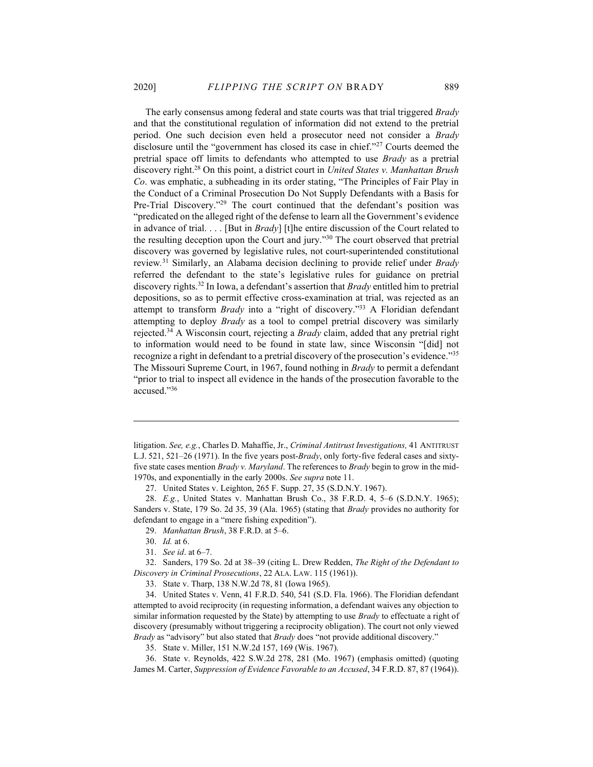The early consensus among federal and state courts was that trial triggered *Brady* and that the constitutional regulation of information did not extend to the pretrial period. One such decision even held a prosecutor need not consider a Brady disclosure until the "government has closed its case in chief."<sup>27</sup> Courts deemed the pretrial space off limits to defendants who attempted to use *Brady* as a pretrial discovery right.<sup>28</sup> On this point, a district court in United States v. Manhattan Brush Co. was emphatic, a subheading in its order stating, "The Principles of Fair Play in the Conduct of a Criminal Prosecution Do Not Supply Defendants with a Basis for Pre-Trial Discovery."<sup>29</sup> The court continued that the defendant's position was "predicated on the alleged right of the defense to learn all the Government's evidence in advance of trial. . . . [But in *Brady*] [t]he entire discussion of the Court related to the resulting deception upon the Court and jury."<sup>30</sup> The court observed that pretrial discovery was governed by legislative rules, not court-superintended constitutional review.<sup>31</sup> Similarly, an Alabama decision declining to provide relief under Brady referred the defendant to the state's legislative rules for guidance on pretrial discovery rights.<sup>32</sup> In Iowa, a defendant's assertion that  $Brady$  entitled him to pretrial depositions, so as to permit effective cross-examination at trial, was rejected as an attempt to transform *Brady* into a "right of discovery."<sup>33</sup> A Floridian defendant attempting to deploy Brady as a tool to compel pretrial discovery was similarly rejected.<sup>34</sup> A Wisconsin court, rejecting a *Brady* claim, added that any pretrial right to information would need to be found in state law, since Wisconsin "[did] not recognize a right in defendant to a pretrial discovery of the prosecution's evidence."<sup>35</sup> The Missouri Supreme Court, in 1967, found nothing in *Brady* to permit a defendant "prior to trial to inspect all evidence in the hands of the prosecution favorable to the accused."<sup>36</sup>

27. United States v. Leighton, 265 F. Supp. 27, 35 (S.D.N.Y. 1967).

 28. E.g., United States v. Manhattan Brush Co., 38 F.R.D. 4, 5–6 (S.D.N.Y. 1965); Sanders v. State, 179 So. 2d 35, 39 (Ala. 1965) (stating that Brady provides no authority for defendant to engage in a "mere fishing expedition").

29. Manhattan Brush, 38 F.R.D. at 5–6.

 32. Sanders, 179 So. 2d at 38–39 (citing L. Drew Redden, The Right of the Defendant to Discovery in Criminal Prosecutions, 22 ALA. LAW. 115 (1961)).

33. State v. Tharp, 138 N.W.2d 78, 81 (Iowa 1965).

 34. United States v. Venn, 41 F.R.D. 540, 541 (S.D. Fla. 1966). The Floridian defendant attempted to avoid reciprocity (in requesting information, a defendant waives any objection to similar information requested by the State) by attempting to use *Brady* to effectuate a right of discovery (presumably without triggering a reciprocity obligation). The court not only viewed Brady as "advisory" but also stated that Brady does "not provide additional discovery."

35. State v. Miller, 151 N.W.2d 157, 169 (Wis. 1967).

 36. State v. Reynolds, 422 S.W.2d 278, 281 (Mo. 1967) (emphasis omitted) (quoting James M. Carter, Suppression of Evidence Favorable to an Accused, 34 F.R.D. 87, 87 (1964)).

litigation. See, e.g., Charles D. Mahaffie, Jr., Criminal Antitrust Investigations, 41 ANTITRUST L.J. 521, 521–26 (1971). In the five years post-*Brady*, only forty-five federal cases and sixtyfive state cases mention *Brady v. Maryland*. The references to *Brady* begin to grow in the mid-1970s, and exponentially in the early 2000s. See supra note 11.

 <sup>30.</sup> Id. at 6.

 <sup>31.</sup> See id. at 6–7.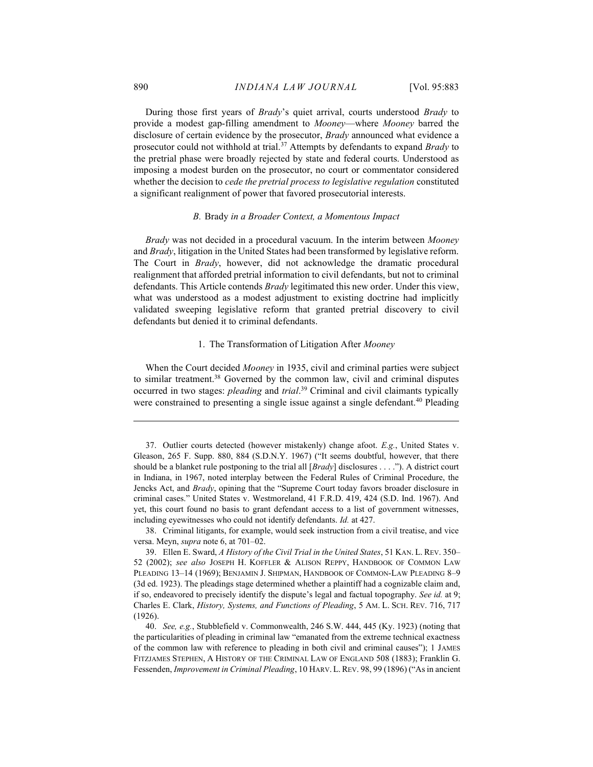During those first years of *Brady's* quiet arrival, courts understood *Brady* to provide a modest gap-filling amendment to Mooney—where Mooney barred the disclosure of certain evidence by the prosecutor, *Brady* announced what evidence a prosecutor could not withhold at trial.<sup>37</sup> Attempts by defendants to expand Brady to the pretrial phase were broadly rejected by state and federal courts. Understood as imposing a modest burden on the prosecutor, no court or commentator considered whether the decision to *cede the pretrial process to legislative regulation* constituted a significant realignment of power that favored prosecutorial interests.

## B. Brady in a Broader Context, a Momentous Impact

Brady was not decided in a procedural vacuum. In the interim between Mooney and *Brady*, litigation in the United States had been transformed by legislative reform. The Court in Brady, however, did not acknowledge the dramatic procedural realignment that afforded pretrial information to civil defendants, but not to criminal defendants. This Article contends *Brady* legitimated this new order. Under this view, what was understood as a modest adjustment to existing doctrine had implicitly validated sweeping legislative reform that granted pretrial discovery to civil defendants but denied it to criminal defendants.

## 1. The Transformation of Litigation After Mooney

When the Court decided Mooney in 1935, civil and criminal parties were subject to similar treatment.<sup>38</sup> Governed by the common law, civil and criminal disputes occurred in two stages: *pleading* and trial.<sup>39</sup> Criminal and civil claimants typically were constrained to presenting a single issue against a single defendant.<sup>40</sup> Pleading

 <sup>37.</sup> Outlier courts detected (however mistakenly) change afoot. E.g., United States v. Gleason, 265 F. Supp. 880, 884 (S.D.N.Y. 1967) ("It seems doubtful, however, that there should be a blanket rule postponing to the trial all  $[Brady]$  disclosures . . . ."). A district court in Indiana, in 1967, noted interplay between the Federal Rules of Criminal Procedure, the Jencks Act, and Brady, opining that the "Supreme Court today favors broader disclosure in criminal cases." United States v. Westmoreland, 41 F.R.D. 419, 424 (S.D. Ind. 1967). And yet, this court found no basis to grant defendant access to a list of government witnesses, including eyewitnesses who could not identify defendants. Id. at 427.

 <sup>38.</sup> Criminal litigants, for example, would seek instruction from a civil treatise, and vice versa. Meyn, supra note 6, at 701–02.

<sup>39.</sup> Ellen E. Sward, A History of the Civil Trial in the United States, 51 KAN. L. REV. 350– 52 (2002); see also JOSEPH H. KOFFLER & ALISON REPPY, HANDBOOK OF COMMON LAW PLEADING 13–14 (1969); BENJAMIN J. SHIPMAN, HANDBOOK OF COMMON-LAW PLEADING 8–9 (3d ed. 1923). The pleadings stage determined whether a plaintiff had a cognizable claim and, if so, endeavored to precisely identify the dispute's legal and factual topography. See id. at 9; Charles E. Clark, History, Systems, and Functions of Pleading, 5 AM. L. SCH. REV. 716, 717 (1926).

 <sup>40.</sup> See, e.g., Stubblefield v. Commonwealth, 246 S.W. 444, 445 (Ky. 1923) (noting that the particularities of pleading in criminal law "emanated from the extreme technical exactness of the common law with reference to pleading in both civil and criminal causes"); 1 JAMES FITZJAMES STEPHEN, A HISTORY OF THE CRIMINAL LAW OF ENGLAND 508 (1883); Franklin G. Fessenden, Improvement in Criminal Pleading, 10 HARV.L.REV. 98, 99 (1896) ("As in ancient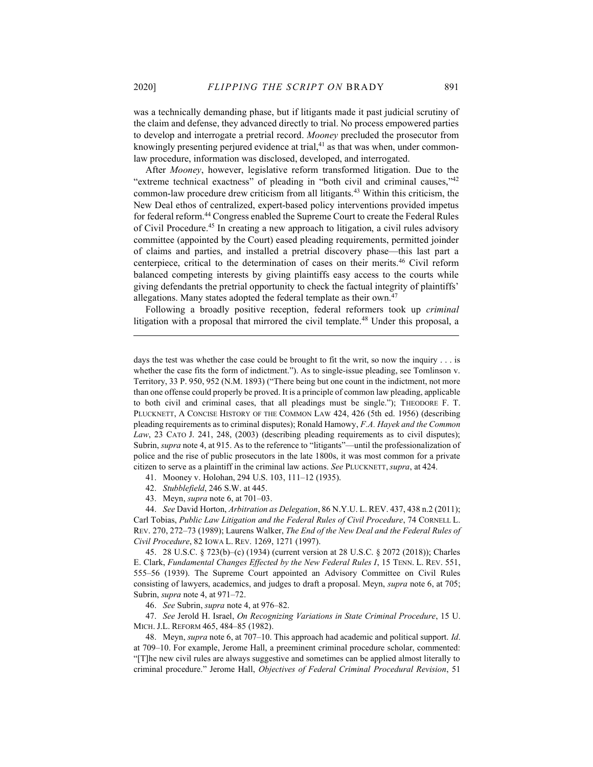was a technically demanding phase, but if litigants made it past judicial scrutiny of the claim and defense, they advanced directly to trial. No process empowered parties to develop and interrogate a pretrial record. Mooney precluded the prosecutor from knowingly presenting perjured evidence at trial, $41$  as that was when, under commonlaw procedure, information was disclosed, developed, and interrogated.

After Mooney, however, legislative reform transformed litigation. Due to the "extreme technical exactness" of pleading in "both civil and criminal causes,"42 common-law procedure drew criticism from all litigants.<sup>43</sup> Within this criticism, the New Deal ethos of centralized, expert-based policy interventions provided impetus for federal reform.<sup>44</sup> Congress enabled the Supreme Court to create the Federal Rules of Civil Procedure.<sup>45</sup> In creating a new approach to litigation, a civil rules advisory committee (appointed by the Court) eased pleading requirements, permitted joinder of claims and parties, and installed a pretrial discovery phase—this last part a centerpiece, critical to the determination of cases on their merits.<sup>46</sup> Civil reform balanced competing interests by giving plaintiffs easy access to the courts while giving defendants the pretrial opportunity to check the factual integrity of plaintiffs' allegations. Many states adopted the federal template as their own.<sup>47</sup>

Following a broadly positive reception, federal reformers took up *criminal* litigation with a proposal that mirrored the civil template.<sup>48</sup> Under this proposal, a

41. Mooney v. Holohan, 294 U.S. 103, 111–12 (1935).

42. Stubblefield, 246 S.W. at 445.

43. Meyn, supra note 6, at 701–03.

 44. See David Horton, Arbitration as Delegation, 86 N.Y.U. L. REV. 437, 438 n.2 (2011); Carl Tobias, Public Law Litigation and the Federal Rules of Civil Procedure, 74 CORNELL L. REV. 270, 272–73 (1989); Laurens Walker, The End of the New Deal and the Federal Rules of Civil Procedure, 82 IOWA L. REV. 1269, 1271 (1997).

 45. 28 U.S.C. § 723(b)–(c) (1934) (current version at 28 U.S.C. § 2072 (2018)); Charles E. Clark, Fundamental Changes Effected by the New Federal Rules I, 15 TENN. L. REV. 551, 555–56 (1939). The Supreme Court appointed an Advisory Committee on Civil Rules consisting of lawyers, academics, and judges to draft a proposal. Meyn, supra note 6, at 705; Subrin, supra note 4, at 971–72.

46. See Subrin, supra note 4, at 976–82.

 47. See Jerold H. Israel, On Recognizing Variations in State Criminal Procedure, 15 U. MICH. J.L. REFORM 465, 484–85 (1982).

 48. Meyn, supra note 6, at 707–10. This approach had academic and political support. Id. at 709–10. For example, Jerome Hall, a preeminent criminal procedure scholar, commented: "[T]he new civil rules are always suggestive and sometimes can be applied almost literally to criminal procedure." Jerome Hall, Objectives of Federal Criminal Procedural Revision, 51

days the test was whether the case could be brought to fit the writ, so now the inquiry . . . is whether the case fits the form of indictment."). As to single-issue pleading, see Tomlinson v. Territory, 33 P. 950, 952 (N.M. 1893) ("There being but one count in the indictment, not more than one offense could properly be proved. It is a principle of common law pleading, applicable to both civil and criminal cases, that all pleadings must be single."); THEODORE F. T. PLUCKNETT, A CONCISE HISTORY OF THE COMMON LAW 424, 426 (5th ed. 1956) (describing pleading requirements as to criminal disputes); Ronald Hamowy, F.A. Hayek and the Common Law, 23 CATO J. 241, 248, (2003) (describing pleading requirements as to civil disputes); Subrin, supra note 4, at 915. As to the reference to "litigants"—until the professionalization of police and the rise of public prosecutors in the late 1800s, it was most common for a private citizen to serve as a plaintiff in the criminal law actions. See PLUCKNETT, supra, at 424.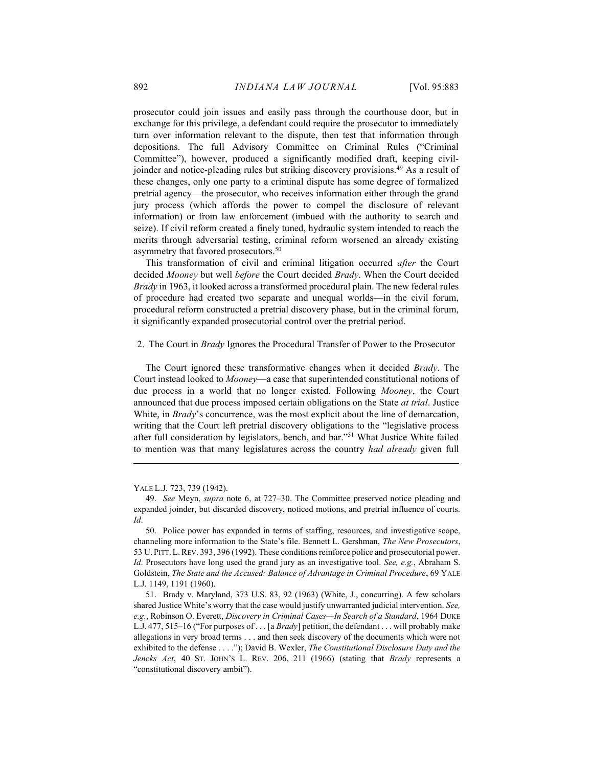prosecutor could join issues and easily pass through the courthouse door, but in exchange for this privilege, a defendant could require the prosecutor to immediately turn over information relevant to the dispute, then test that information through depositions. The full Advisory Committee on Criminal Rules ("Criminal Committee"), however, produced a significantly modified draft, keeping civiljoinder and notice-pleading rules but striking discovery provisions.<sup>49</sup> As a result of these changes, only one party to a criminal dispute has some degree of formalized pretrial agency—the prosecutor, who receives information either through the grand jury process (which affords the power to compel the disclosure of relevant information) or from law enforcement (imbued with the authority to search and seize). If civil reform created a finely tuned, hydraulic system intended to reach the merits through adversarial testing, criminal reform worsened an already existing asymmetry that favored prosecutors.<sup>50</sup>

This transformation of civil and criminal litigation occurred after the Court decided *Mooney* but well *before* the Court decided *Brady*. When the Court decided Brady in 1963, it looked across a transformed procedural plain. The new federal rules of procedure had created two separate and unequal worlds—in the civil forum, procedural reform constructed a pretrial discovery phase, but in the criminal forum, it significantly expanded prosecutorial control over the pretrial period.

2. The Court in Brady Ignores the Procedural Transfer of Power to the Prosecutor

The Court ignored these transformative changes when it decided Brady. The Court instead looked to Mooney—a case that superintended constitutional notions of due process in a world that no longer existed. Following Mooney, the Court announced that due process imposed certain obligations on the State at trial. Justice White, in *Brady's* concurrence, was the most explicit about the line of demarcation, writing that the Court left pretrial discovery obligations to the "legislative process after full consideration by legislators, bench, and bar."<sup>51</sup> What Justice White failed to mention was that many legislatures across the country had already given full

YALE L.J. 723, 739 (1942).

 <sup>49.</sup> See Meyn, supra note 6, at 727–30. The Committee preserved notice pleading and expanded joinder, but discarded discovery, noticed motions, and pretrial influence of courts. Id.

 <sup>50.</sup> Police power has expanded in terms of staffing, resources, and investigative scope, channeling more information to the State's file. Bennett L. Gershman, The New Prosecutors, 53 U. PITT.L.REV. 393, 396 (1992). These conditions reinforce police and prosecutorial power. Id. Prosecutors have long used the grand jury as an investigative tool. See, e.g., Abraham S. Goldstein, The State and the Accused: Balance of Advantage in Criminal Procedure, 69 YALE L.J. 1149, 1191 (1960).

 <sup>51.</sup> Brady v. Maryland, 373 U.S. 83, 92 (1963) (White, J., concurring). A few scholars shared Justice White's worry that the case would justify unwarranted judicial intervention. See, e.g., Robinson O. Everett, Discovery in Criminal Cases—In Search of a Standard, 1964 DUKE L.J. 477, 515–16 ("For purposes of  $\dots$  [a *Brady*] petition, the defendant  $\dots$  will probably make allegations in very broad terms . . . and then seek discovery of the documents which were not exhibited to the defense . . . ."); David B. Wexler, The Constitutional Disclosure Duty and the Jencks Act, 40 ST. JOHN's L. REV. 206, 211 (1966) (stating that Brady represents a "constitutional discovery ambit").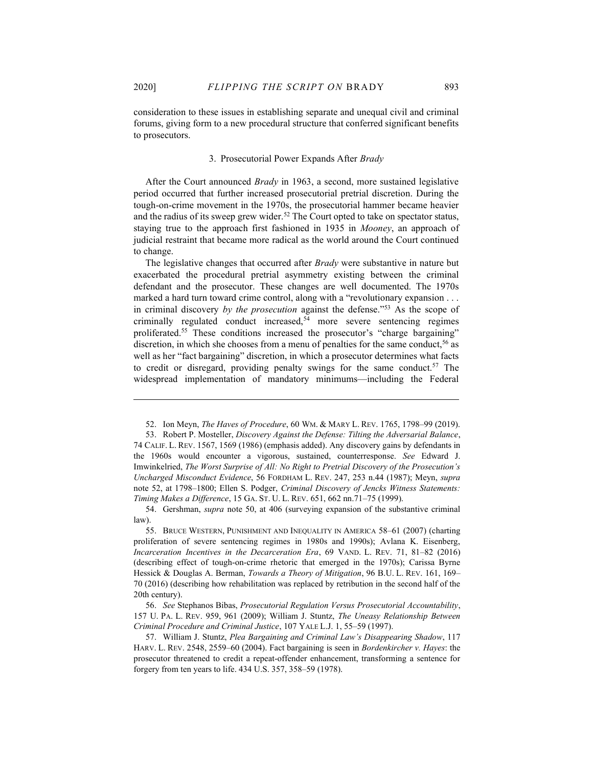consideration to these issues in establishing separate and unequal civil and criminal forums, giving form to a new procedural structure that conferred significant benefits to prosecutors.

## 3. Prosecutorial Power Expands After Brady

After the Court announced Brady in 1963, a second, more sustained legislative period occurred that further increased prosecutorial pretrial discretion. During the tough-on-crime movement in the 1970s, the prosecutorial hammer became heavier and the radius of its sweep grew wider.<sup>52</sup> The Court opted to take on spectator status, staying true to the approach first fashioned in 1935 in Mooney, an approach of judicial restraint that became more radical as the world around the Court continued to change.

The legislative changes that occurred after *Brady* were substantive in nature but exacerbated the procedural pretrial asymmetry existing between the criminal defendant and the prosecutor. These changes are well documented. The 1970s marked a hard turn toward crime control, along with a "revolutionary expansion . . . in criminal discovery by the prosecution against the defense."<sup>53</sup> As the scope of criminally regulated conduct increased,<sup>54</sup> more severe sentencing regimes proliferated.<sup>55</sup> These conditions increased the prosecutor's "charge bargaining" discretion, in which she chooses from a menu of penalties for the same conduct,  $5<sup>6</sup>$  as well as her "fact bargaining" discretion, in which a prosecutor determines what facts to credit or disregard, providing penalty swings for the same conduct.<sup>57</sup> The widespread implementation of mandatory minimums—including the Federal

 <sup>52.</sup> Ion Meyn, The Haves of Procedure, 60 WM. & MARY L. REV. 1765, 1798–99 (2019).

<sup>53.</sup> Robert P. Mosteller, *Discovery Against the Defense: Tilting the Adversarial Balance*, 74 CALIF. L. REV. 1567, 1569 (1986) (emphasis added). Any discovery gains by defendants in the 1960s would encounter a vigorous, sustained, counterresponse. See Edward J. Imwinkelried, The Worst Surprise of All: No Right to Pretrial Discovery of the Prosecution's Uncharged Misconduct Evidence, 56 FORDHAM L. REV. 247, 253 n.44 (1987); Meyn, supra note 52, at 1798–1800; Ellen S. Podger, Criminal Discovery of Jencks Witness Statements: Timing Makes a Difference, 15 GA. ST. U. L. REV. 651, 662 nn.71–75 (1999).

 <sup>54.</sup> Gershman, supra note 50, at 406 (surveying expansion of the substantive criminal law).

 <sup>55.</sup> BRUCE WESTERN, PUNISHMENT AND INEQUALITY IN AMERICA 58–61 (2007) (charting proliferation of severe sentencing regimes in 1980s and 1990s); Avlana K. Eisenberg, Incarceration Incentives in the Decarceration Era, 69 VAND. L. REV. 71, 81–82 (2016) (describing effect of tough-on-crime rhetoric that emerged in the 1970s); Carissa Byrne Hessick & Douglas A. Berman, Towards a Theory of Mitigation, 96 B.U. L. REV. 161, 169– 70 (2016) (describing how rehabilitation was replaced by retribution in the second half of the 20th century).

 <sup>56.</sup> See Stephanos Bibas, Prosecutorial Regulation Versus Prosecutorial Accountability, 157 U. PA. L. REV. 959, 961 (2009); William J. Stuntz, The Uneasy Relationship Between Criminal Procedure and Criminal Justice, 107 YALE L.J. 1, 55–59 (1997).

 <sup>57.</sup> William J. Stuntz, Plea Bargaining and Criminal Law's Disappearing Shadow, 117 HARV. L. REV. 2548, 2559–60 (2004). Fact bargaining is seen in Bordenkircher v. Hayes: the prosecutor threatened to credit a repeat-offender enhancement, transforming a sentence for forgery from ten years to life. 434 U.S. 357, 358–59 (1978).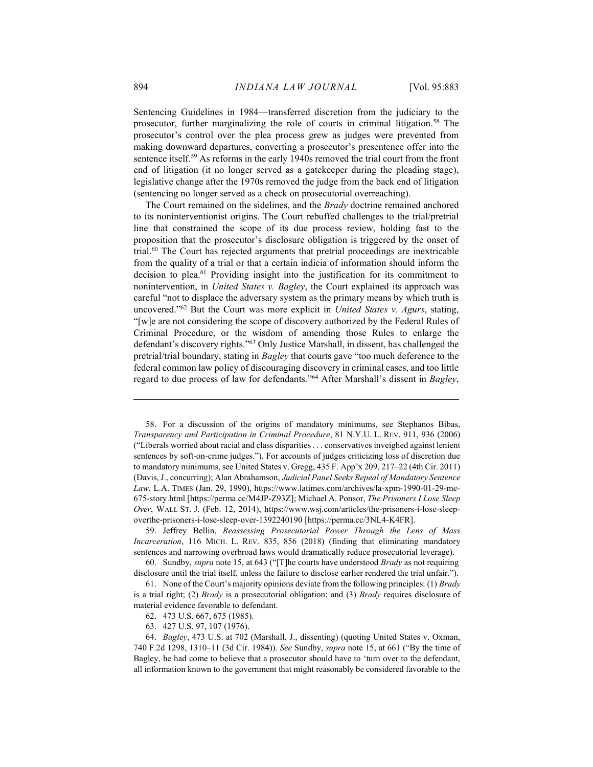Sentencing Guidelines in 1984—transferred discretion from the judiciary to the prosecutor, further marginalizing the role of courts in criminal litigation.<sup>58</sup> The prosecutor's control over the plea process grew as judges were prevented from making downward departures, converting a prosecutor's presentence offer into the sentence itself.<sup>59</sup> As reforms in the early 1940s removed the trial court from the front end of litigation (it no longer served as a gatekeeper during the pleading stage), legislative change after the 1970s removed the judge from the back end of litigation (sentencing no longer served as a check on prosecutorial overreaching).

The Court remained on the sidelines, and the *Brady* doctrine remained anchored to its noninterventionist origins. The Court rebuffed challenges to the trial/pretrial line that constrained the scope of its due process review, holding fast to the proposition that the prosecutor's disclosure obligation is triggered by the onset of trial.<sup>60</sup> The Court has rejected arguments that pretrial proceedings are inextricable from the quality of a trial or that a certain indicia of information should inform the decision to plea.<sup>61</sup> Providing insight into the justification for its commitment to nonintervention, in United States v. Bagley, the Court explained its approach was careful "not to displace the adversary system as the primary means by which truth is uncovered." $62$  But the Court was more explicit in United States v. Agurs, stating, "[w]e are not considering the scope of discovery authorized by the Federal Rules of Criminal Procedure, or the wisdom of amending those Rules to enlarge the defendant's discovery rights."<sup>63</sup> Only Justice Marshall, in dissent, has challenged the pretrial/trial boundary, stating in Bagley that courts gave "too much deference to the federal common law policy of discouraging discovery in criminal cases, and too little regard to due process of law for defendants."<sup>64</sup> After Marshall's dissent in Bagley,

- 62. 473 U.S. 667, 675 (1985).
- 63. 427 U.S. 97, 107 (1976).

 <sup>58.</sup> For a discussion of the origins of mandatory minimums, see Stephanos Bibas, Transparency and Participation in Criminal Procedure, 81 N.Y.U. L. REV. 911, 936 (2006) ("Liberals worried about racial and class disparities . . . conservatives inveighed against lenient sentences by soft-on-crime judges."). For accounts of judges criticizing loss of discretion due to mandatory minimums, see United States v. Gregg, 435 F. App'x 209, 217–22 (4th Cir. 2011) (Davis, J., concurring); Alan Abrahamson, Judicial Panel Seeks Repeal of Mandatory Sentence Law, L.A. TIMES (Jan. 29, 1990), https://www.latimes.com/archives/la-xpm-1990-01-29-me-675-story.html [https://perma.cc/M4JP-Z93Z]; Michael A. Ponsor, The Prisoners I Lose Sleep Over, WALL ST. J. (Feb. 12, 2014), https://www.wsj.com/articles/the-prisoners-i-lose-sleepoverthe-prisoners-i-lose-sleep-over-1392240190 [https://perma.cc/3NL4-K4FR].

 <sup>59.</sup> Jeffrey Bellin, Reassessing Prosecutorial Power Through the Lens of Mass Incarceration, 116 MICH. L. REV. 835, 856 (2018) (finding that eliminating mandatory sentences and narrowing overbroad laws would dramatically reduce prosecutorial leverage).

<sup>60.</sup> Sundby, *supra* note 15, at 643 ("[T]he courts have understood *Brady* as not requiring disclosure until the trial itself, unless the failure to disclose earlier rendered the trial unfair.").

 <sup>61.</sup> None of the Court's majority opinions deviate from the following principles: (1) Brady is a trial right; (2) *Brady* is a prosecutorial obligation; and (3) *Brady* requires disclosure of material evidence favorable to defendant.

 <sup>64.</sup> Bagley, 473 U.S. at 702 (Marshall, J., dissenting) (quoting United States v. Oxman, 740 F.2d 1298, 1310–11 (3d Cir. 1984)). See Sundby, supra note 15, at 661 ("By the time of Bagley, he had come to believe that a prosecutor should have to 'turn over to the defendant, all information known to the government that might reasonably be considered favorable to the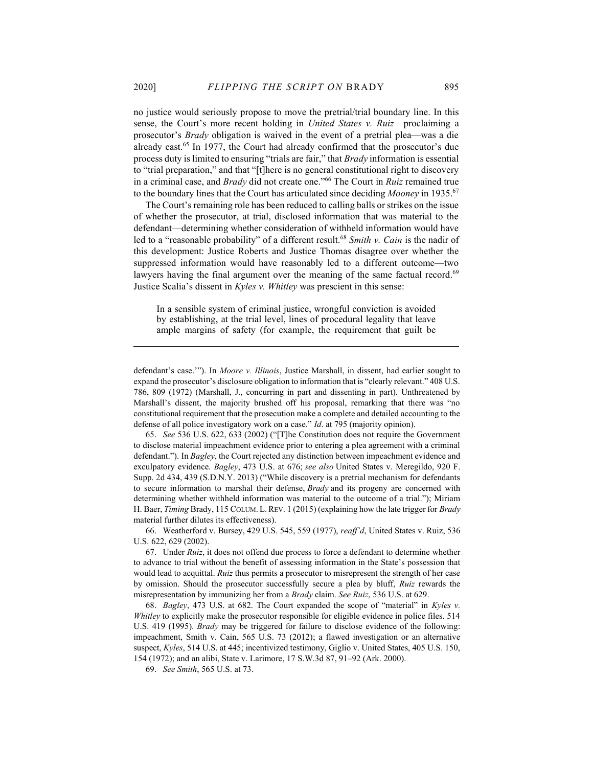no justice would seriously propose to move the pretrial/trial boundary line. In this sense, the Court's more recent holding in United States v. Ruiz—proclaiming a prosecutor's Brady obligation is waived in the event of a pretrial plea—was a die already cast.<sup>65</sup> In 1977, the Court had already confirmed that the prosecutor's due process duty is limited to ensuring "trials are fair," that Brady information is essential to "trial preparation," and that "[t]here is no general constitutional right to discovery in a criminal case, and Brady did not create one."<sup>66</sup> The Court in Ruiz remained true to the boundary lines that the Court has articulated since deciding Mooney in 1935.<sup>67</sup>

The Court's remaining role has been reduced to calling balls or strikes on the issue of whether the prosecutor, at trial, disclosed information that was material to the defendant—determining whether consideration of withheld information would have led to a "reasonable probability" of a different result.<sup>68</sup> Smith v. Cain is the nadir of this development: Justice Roberts and Justice Thomas disagree over whether the suppressed information would have reasonably led to a different outcome—two lawyers having the final argument over the meaning of the same factual record.<sup>69</sup> Justice Scalia's dissent in Kyles v. Whitley was prescient in this sense:

In a sensible system of criminal justice, wrongful conviction is avoided by establishing, at the trial level, lines of procedural legality that leave ample margins of safety (for example, the requirement that guilt be

 65. See 536 U.S. 622, 633 (2002) ("[T]he Constitution does not require the Government to disclose material impeachment evidence prior to entering a plea agreement with a criminal defendant."). In Bagley, the Court rejected any distinction between impeachment evidence and exculpatory evidence. Bagley, 473 U.S. at 676; see also United States v. Meregildo, 920 F. Supp. 2d 434, 439 (S.D.N.Y. 2013) ("While discovery is a pretrial mechanism for defendants to secure information to marshal their defense, *Brady* and its progeny are concerned with determining whether withheld information was material to the outcome of a trial."); Miriam H. Baer, Timing Brady, 115 COLUM. L. REV. 1 (2015) (explaining how the late trigger for Brady material further dilutes its effectiveness).

 66. Weatherford v. Bursey, 429 U.S. 545, 559 (1977), reaff'd, United States v. Ruiz, 536 U.S. 622, 629 (2002).

 67. Under Ruiz, it does not offend due process to force a defendant to determine whether to advance to trial without the benefit of assessing information in the State's possession that would lead to acquittal. Ruiz thus permits a prosecutor to misrepresent the strength of her case by omission. Should the prosecutor successfully secure a plea by bluff, Ruiz rewards the misrepresentation by immunizing her from a *Brady* claim. See Ruiz, 536 U.S. at 629.

 68. Bagley, 473 U.S. at 682. The Court expanded the scope of "material" in Kyles v. Whitley to explicitly make the prosecutor responsible for eligible evidence in police files. 514 U.S. 419 (1995). Brady may be triggered for failure to disclose evidence of the following: impeachment, Smith v. Cain, 565 U.S. 73 (2012); a flawed investigation or an alternative suspect, Kyles, 514 U.S. at 445; incentivized testimony, Giglio v. United States, 405 U.S. 150, 154 (1972); and an alibi, State v. Larimore, 17 S.W.3d 87, 91–92 (Ark. 2000).

69. See Smith, 565 U.S. at 73.

defendant's case.'"). In Moore v. Illinois, Justice Marshall, in dissent, had earlier sought to expand the prosecutor's disclosure obligation to information that is "clearly relevant." 408 U.S. 786, 809 (1972) (Marshall, J., concurring in part and dissenting in part). Unthreatened by Marshall's dissent, the majority brushed off his proposal, remarking that there was "no constitutional requirement that the prosecution make a complete and detailed accounting to the defense of all police investigatory work on a case." *Id.* at 795 (majority opinion).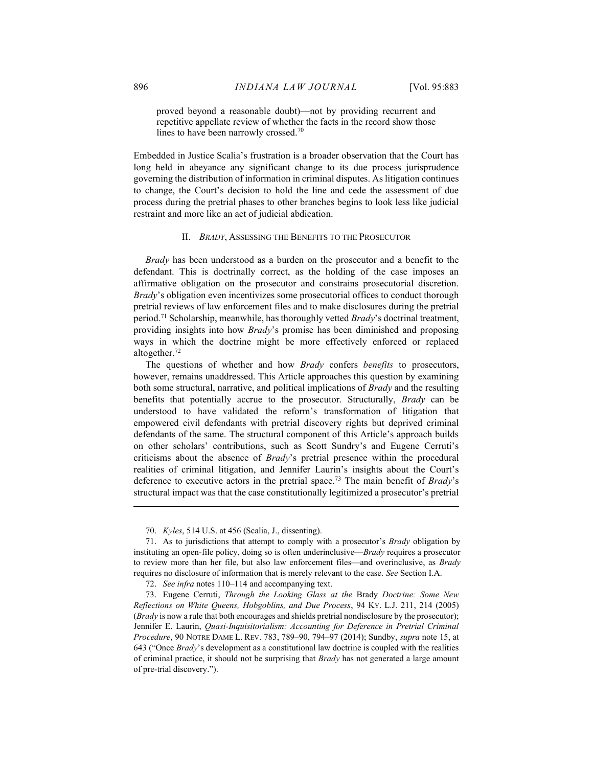proved beyond a reasonable doubt)—not by providing recurrent and repetitive appellate review of whether the facts in the record show those lines to have been narrowly crossed.<sup>70</sup>

Embedded in Justice Scalia's frustration is a broader observation that the Court has long held in abeyance any significant change to its due process jurisprudence governing the distribution of information in criminal disputes. As litigation continues to change, the Court's decision to hold the line and cede the assessment of due process during the pretrial phases to other branches begins to look less like judicial restraint and more like an act of judicial abdication.

#### II. BRADY, ASSESSING THE BENEFITS TO THE PROSECUTOR

Brady has been understood as a burden on the prosecutor and a benefit to the defendant. This is doctrinally correct, as the holding of the case imposes an affirmative obligation on the prosecutor and constrains prosecutorial discretion. Brady's obligation even incentivizes some prosecutorial offices to conduct thorough pretrial reviews of law enforcement files and to make disclosures during the pretrial period.<sup>71</sup> Scholarship, meanwhile, has thoroughly vetted *Brady*'s doctrinal treatment, providing insights into how *Brady*'s promise has been diminished and proposing ways in which the doctrine might be more effectively enforced or replaced altogether.<sup>72</sup>

The questions of whether and how *Brady* confers *benefits* to prosecutors, however, remains unaddressed. This Article approaches this question by examining both some structural, narrative, and political implications of *Brady* and the resulting benefits that potentially accrue to the prosecutor. Structurally, Brady can be understood to have validated the reform's transformation of litigation that empowered civil defendants with pretrial discovery rights but deprived criminal defendants of the same. The structural component of this Article's approach builds on other scholars' contributions, such as Scott Sundry's and Eugene Cerruti's criticisms about the absence of Brady's pretrial presence within the procedural realities of criminal litigation, and Jennifer Laurin's insights about the Court's deference to executive actors in the pretrial space.<sup>73</sup> The main benefit of *Brady's* structural impact was that the case constitutionally legitimized a prosecutor's pretrial

 <sup>70.</sup> Kyles, 514 U.S. at 456 (Scalia, J., dissenting).

 <sup>71.</sup> As to jurisdictions that attempt to comply with a prosecutor's Brady obligation by instituting an open-file policy, doing so is often underinclusive—Brady requires a prosecutor to review more than her file, but also law enforcement files—and overinclusive, as *Brady* requires no disclosure of information that is merely relevant to the case. See Section I.A.

 <sup>72.</sup> See infra notes 110–114 and accompanying text.

 <sup>73.</sup> Eugene Cerruti, Through the Looking Glass at the Brady Doctrine: Some New Reflections on White Queens, Hobgoblins, and Due Process, 94 KY. L.J. 211, 214 (2005) (*Brady* is now a rule that both encourages and shields pretrial nondisclosure by the prosecutor); Jennifer E. Laurin, Quasi-Inquisitorialism: Accounting for Deference in Pretrial Criminal Procedure, 90 NOTRE DAME L. REV. 783, 789–90, 794–97 (2014); Sundby, supra note 15, at 643 ("Once Brady's development as a constitutional law doctrine is coupled with the realities of criminal practice, it should not be surprising that *Brady* has not generated a large amount of pre-trial discovery.").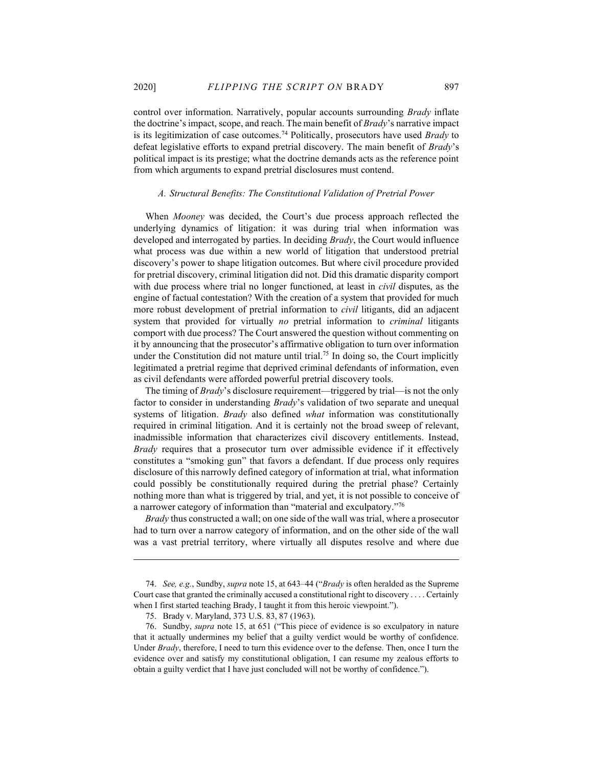control over information. Narratively, popular accounts surrounding Brady inflate the doctrine's impact, scope, and reach. The main benefit of  $Brady$ 's narrative impact is its legitimization of case outcomes.<sup>74</sup> Politically, prosecutors have used *Brady* to defeat legislative efforts to expand pretrial discovery. The main benefit of Brady's political impact is its prestige; what the doctrine demands acts as the reference point from which arguments to expand pretrial disclosures must contend.

#### A. Structural Benefits: The Constitutional Validation of Pretrial Power

When Mooney was decided, the Court's due process approach reflected the underlying dynamics of litigation: it was during trial when information was developed and interrogated by parties. In deciding Brady, the Court would influence what process was due within a new world of litigation that understood pretrial discovery's power to shape litigation outcomes. But where civil procedure provided for pretrial discovery, criminal litigation did not. Did this dramatic disparity comport with due process where trial no longer functioned, at least in *civil* disputes, as the engine of factual contestation? With the creation of a system that provided for much more robust development of pretrial information to *civil* litigants, did an adjacent system that provided for virtually *no* pretrial information to *criminal* litigants comport with due process? The Court answered the question without commenting on it by announcing that the prosecutor's affirmative obligation to turn over information under the Constitution did not mature until trial.<sup>75</sup> In doing so, the Court implicitly legitimated a pretrial regime that deprived criminal defendants of information, even as civil defendants were afforded powerful pretrial discovery tools.

The timing of *Brady*'s disclosure requirement—triggered by trial—is not the only factor to consider in understanding *Brady*'s validation of two separate and unequal systems of litigation. Brady also defined what information was constitutionally required in criminal litigation. And it is certainly not the broad sweep of relevant, inadmissible information that characterizes civil discovery entitlements. Instead, Brady requires that a prosecutor turn over admissible evidence if it effectively constitutes a "smoking gun" that favors a defendant. If due process only requires disclosure of this narrowly defined category of information at trial, what information could possibly be constitutionally required during the pretrial phase? Certainly nothing more than what is triggered by trial, and yet, it is not possible to conceive of a narrower category of information than "material and exculpatory."<sup>76</sup>

 Brady thus constructed a wall; on one side of the wall was trial, where a prosecutor had to turn over a narrow category of information, and on the other side of the wall was a vast pretrial territory, where virtually all disputes resolve and where due

 <sup>74.</sup> See, e.g., Sundby, supra note 15, at 643–44 ("Brady is often heralded as the Supreme Court case that granted the criminally accused a constitutional right to discovery . . . . Certainly when I first started teaching Brady, I taught it from this heroic viewpoint.").

 <sup>75.</sup> Brady v. Maryland, 373 U.S. 83, 87 (1963).

 <sup>76.</sup> Sundby, supra note 15, at 651 ("This piece of evidence is so exculpatory in nature that it actually undermines my belief that a guilty verdict would be worthy of confidence. Under  $Brady$ , therefore, I need to turn this evidence over to the defense. Then, once I turn the evidence over and satisfy my constitutional obligation, I can resume my zealous efforts to obtain a guilty verdict that I have just concluded will not be worthy of confidence.").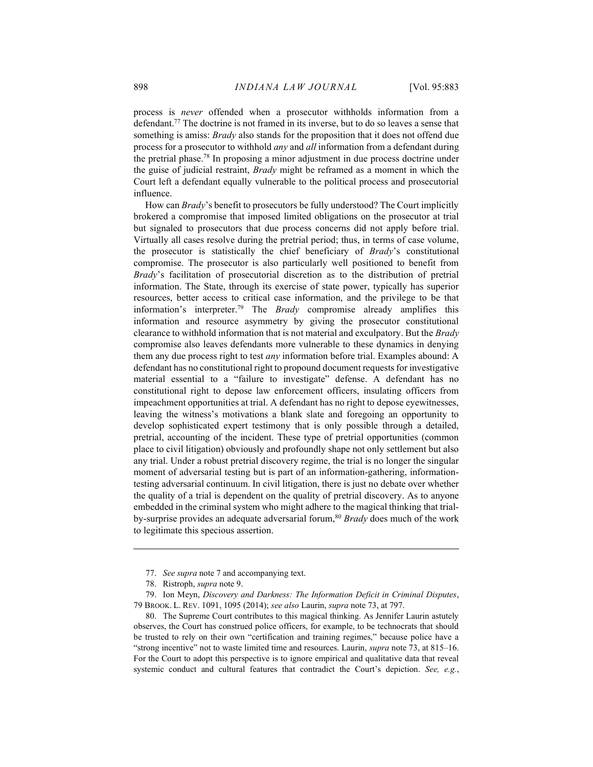process is never offended when a prosecutor withholds information from a defendant.<sup>77</sup> The doctrine is not framed in its inverse, but to do so leaves a sense that something is amiss: *Brady* also stands for the proposition that it does not offend due process for a prosecutor to withhold *any* and *all* information from a defendant during the pretrial phase.<sup>78</sup> In proposing a minor adjustment in due process doctrine under the guise of judicial restraint, Brady might be reframed as a moment in which the Court left a defendant equally vulnerable to the political process and prosecutorial influence.

How can Brady's benefit to prosecutors be fully understood? The Court implicitly brokered a compromise that imposed limited obligations on the prosecutor at trial but signaled to prosecutors that due process concerns did not apply before trial. Virtually all cases resolve during the pretrial period; thus, in terms of case volume, the prosecutor is statistically the chief beneficiary of Brady's constitutional compromise. The prosecutor is also particularly well positioned to benefit from Brady's facilitation of prosecutorial discretion as to the distribution of pretrial information. The State, through its exercise of state power, typically has superior resources, better access to critical case information, and the privilege to be that information's interpreter.<sup>79</sup> The *Brady* compromise already amplifies this information and resource asymmetry by giving the prosecutor constitutional clearance to withhold information that is not material and exculpatory. But the Brady compromise also leaves defendants more vulnerable to these dynamics in denying them any due process right to test any information before trial. Examples abound: A defendant has no constitutional right to propound document requests for investigative material essential to a "failure to investigate" defense. A defendant has no constitutional right to depose law enforcement officers, insulating officers from impeachment opportunities at trial. A defendant has no right to depose eyewitnesses, leaving the witness's motivations a blank slate and foregoing an opportunity to develop sophisticated expert testimony that is only possible through a detailed, pretrial, accounting of the incident. These type of pretrial opportunities (common place to civil litigation) obviously and profoundly shape not only settlement but also any trial. Under a robust pretrial discovery regime, the trial is no longer the singular moment of adversarial testing but is part of an information-gathering, informationtesting adversarial continuum. In civil litigation, there is just no debate over whether the quality of a trial is dependent on the quality of pretrial discovery. As to anyone embedded in the criminal system who might adhere to the magical thinking that trialby-surprise provides an adequate adversarial forum,<sup>80</sup> Brady does much of the work to legitimate this specious assertion.

<sup>77.</sup> See supra note 7 and accompanying text.

 <sup>78.</sup> Ristroph, supra note 9.

 <sup>79.</sup> Ion Meyn, Discovery and Darkness: The Information Deficit in Criminal Disputes, 79 BROOK. L. REV. 1091, 1095 (2014); see also Laurin, supra note 73, at 797.

 <sup>80.</sup> The Supreme Court contributes to this magical thinking. As Jennifer Laurin astutely observes, the Court has construed police officers, for example, to be technocrats that should be trusted to rely on their own "certification and training regimes," because police have a "strong incentive" not to waste limited time and resources. Laurin, supra note 73, at 815–16. For the Court to adopt this perspective is to ignore empirical and qualitative data that reveal systemic conduct and cultural features that contradict the Court's depiction. See, e.g.,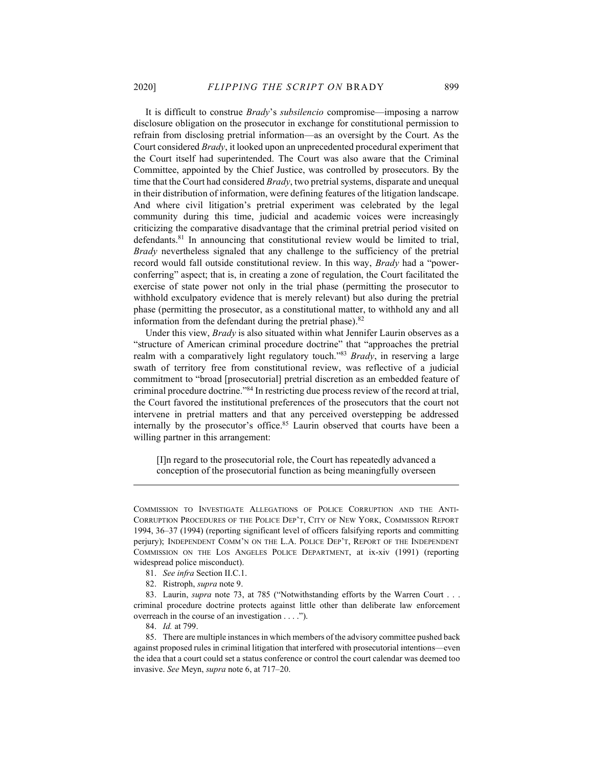It is difficult to construe Brady's subsilencio compromise—imposing a narrow disclosure obligation on the prosecutor in exchange for constitutional permission to refrain from disclosing pretrial information—as an oversight by the Court. As the Court considered Brady, it looked upon an unprecedented procedural experiment that the Court itself had superintended. The Court was also aware that the Criminal Committee, appointed by the Chief Justice, was controlled by prosecutors. By the time that the Court had considered *Brady*, two pretrial systems, disparate and unequal in their distribution of information, were defining features of the litigation landscape. And where civil litigation's pretrial experiment was celebrated by the legal community during this time, judicial and academic voices were increasingly criticizing the comparative disadvantage that the criminal pretrial period visited on defendants.<sup>81</sup> In announcing that constitutional review would be limited to trial, Brady nevertheless signaled that any challenge to the sufficiency of the pretrial record would fall outside constitutional review. In this way, *Brady* had a "powerconferring" aspect; that is, in creating a zone of regulation, the Court facilitated the exercise of state power not only in the trial phase (permitting the prosecutor to withhold exculpatory evidence that is merely relevant) but also during the pretrial phase (permitting the prosecutor, as a constitutional matter, to withhold any and all information from the defendant during the pretrial phase). $82$ 

Under this view, *Brady* is also situated within what Jennifer Laurin observes as a "structure of American criminal procedure doctrine" that "approaches the pretrial realm with a comparatively light regulatory touch."83 Brady, in reserving a large swath of territory free from constitutional review, was reflective of a judicial commitment to "broad [prosecutorial] pretrial discretion as an embedded feature of criminal procedure doctrine."<sup>84</sup> In restricting due process review of the record at trial, the Court favored the institutional preferences of the prosecutors that the court not intervene in pretrial matters and that any perceived overstepping be addressed internally by the prosecutor's office.<sup>85</sup> Laurin observed that courts have been a willing partner in this arrangement:

[I]n regard to the prosecutorial role, the Court has repeatedly advanced a conception of the prosecutorial function as being meaningfully overseen

COMMISSION TO INVESTIGATE ALLEGATIONS OF POLICE CORRUPTION AND THE ANTI-CORRUPTION PROCEDURES OF THE POLICE DEP'T, CITY OF NEW YORK, COMMISSION REPORT 1994, 36–37 (1994) (reporting significant level of officers falsifying reports and committing perjury); INDEPENDENT COMM'N ON THE L.A. POLICE DEP'T, REPORT OF THE INDEPENDENT COMMISSION ON THE LOS ANGELES POLICE DEPARTMENT, at ix-xiv (1991) (reporting widespread police misconduct).

 <sup>81.</sup> See infra Section II.C.1.

 <sup>82.</sup> Ristroph, supra note 9.

<sup>83.</sup> Laurin, *supra* note 73, at 785 ("Notwithstanding efforts by the Warren Court . . . criminal procedure doctrine protects against little other than deliberate law enforcement overreach in the course of an investigation . . . .").

 <sup>84.</sup> Id. at 799.

 <sup>85.</sup> There are multiple instances in which members of the advisory committee pushed back against proposed rules in criminal litigation that interfered with prosecutorial intentions—even the idea that a court could set a status conference or control the court calendar was deemed too invasive. See Meyn, supra note 6, at 717–20.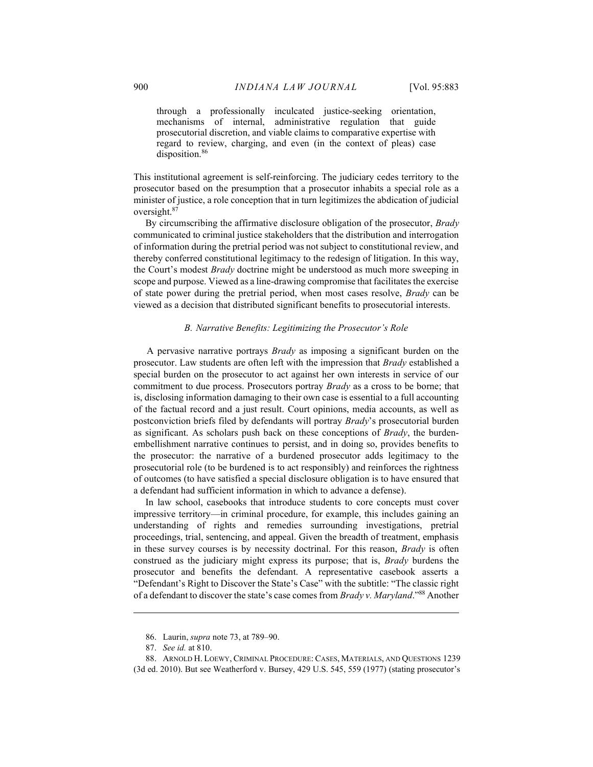through a professionally inculcated justice-seeking orientation, mechanisms of internal, administrative regulation that guide prosecutorial discretion, and viable claims to comparative expertise with regard to review, charging, and even (in the context of pleas) case disposition.<sup>86</sup>

This institutional agreement is self-reinforcing. The judiciary cedes territory to the prosecutor based on the presumption that a prosecutor inhabits a special role as a minister of justice, a role conception that in turn legitimizes the abdication of judicial oversight.<sup>87</sup>

By circumscribing the affirmative disclosure obligation of the prosecutor, Brady communicated to criminal justice stakeholders that the distribution and interrogation of information during the pretrial period was not subject to constitutional review, and thereby conferred constitutional legitimacy to the redesign of litigation. In this way, the Court's modest Brady doctrine might be understood as much more sweeping in scope and purpose. Viewed as a line-drawing compromise that facilitates the exercise of state power during the pretrial period, when most cases resolve, *Brady* can be viewed as a decision that distributed significant benefits to prosecutorial interests.

## B. Narrative Benefits: Legitimizing the Prosecutor's Role

A pervasive narrative portrays Brady as imposing a significant burden on the prosecutor. Law students are often left with the impression that Brady established a special burden on the prosecutor to act against her own interests in service of our commitment to due process. Prosecutors portray *Brady* as a cross to be borne; that is, disclosing information damaging to their own case is essential to a full accounting of the factual record and a just result. Court opinions, media accounts, as well as postconviction briefs filed by defendants will portray Brady's prosecutorial burden as significant. As scholars push back on these conceptions of  $Bradv$ , the burdenembellishment narrative continues to persist, and in doing so, provides benefits to the prosecutor: the narrative of a burdened prosecutor adds legitimacy to the prosecutorial role (to be burdened is to act responsibly) and reinforces the rightness of outcomes (to have satisfied a special disclosure obligation is to have ensured that a defendant had sufficient information in which to advance a defense).

In law school, casebooks that introduce students to core concepts must cover impressive territory—in criminal procedure, for example, this includes gaining an understanding of rights and remedies surrounding investigations, pretrial proceedings, trial, sentencing, and appeal. Given the breadth of treatment, emphasis in these survey courses is by necessity doctrinal. For this reason, *Brady* is often construed as the judiciary might express its purpose; that is, Brady burdens the prosecutor and benefits the defendant. A representative casebook asserts a "Defendant's Right to Discover the State's Case" with the subtitle: "The classic right of a defendant to discover the state's case comes from  $Bradyv$ . Maryland."<sup>88</sup> Another

 <sup>86.</sup> Laurin, supra note 73, at 789–90.

 <sup>87.</sup> See id. at 810.

 <sup>88.</sup> ARNOLD H. LOEWY, CRIMINAL PROCEDURE: CASES, MATERIALS, AND QUESTIONS 1239 (3d ed. 2010). But see Weatherford v. Bursey, 429 U.S. 545, 559 (1977) (stating prosecutor's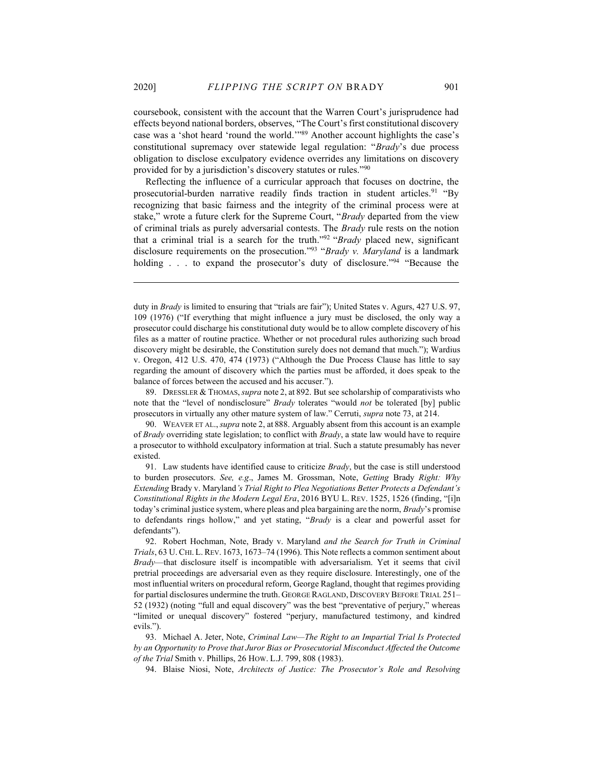coursebook, consistent with the account that the Warren Court's jurisprudence had effects beyond national borders, observes, "The Court's first constitutional discovery case was a 'shot heard 'round the world.'"<sup>89</sup> Another account highlights the case's constitutional supremacy over statewide legal regulation: "Brady's due process obligation to disclose exculpatory evidence overrides any limitations on discovery provided for by a jurisdiction's discovery statutes or rules."<sup>90</sup>

Reflecting the influence of a curricular approach that focuses on doctrine, the prosecutorial-burden narrative readily finds traction in student articles.<sup>91</sup> "By recognizing that basic fairness and the integrity of the criminal process were at stake," wrote a future clerk for the Supreme Court, "Brady departed from the view of criminal trials as purely adversarial contests. The Brady rule rests on the notion that a criminal trial is a search for the truth."<sup>92</sup> "Brady placed new, significant disclosure requirements on the prosecution."<sup>93</sup> "Brady v. Maryland is a landmark holding . . . to expand the prosecutor's duty of disclosure."<sup>94</sup> "Because the

89. DRESSLER & THOMAS, supra note 2, at 892. But see scholarship of comparativists who note that the "level of nondisclosure" *Brady* tolerates "would *not* be tolerated [by] public prosecutors in virtually any other mature system of law." Cerruti, supra note 73, at 214.

90. WEAVER ET AL., *supra* note 2, at 888. Arguably absent from this account is an example of Brady overriding state legislation; to conflict with Brady, a state law would have to require a prosecutor to withhold exculpatory information at trial. Such a statute presumably has never existed.

 91. Law students have identified cause to criticize Brady, but the case is still understood to burden prosecutors. See, e.g., James M. Grossman, Note, Getting Brady Right: Why Extending Brady v. Maryland's Trial Right to Plea Negotiations Better Protects a Defendant's Constitutional Rights in the Modern Legal Era, 2016 BYU L. REV. 1525, 1526 (finding, "[i]n today's criminal justice system, where pleas and plea bargaining are the norm, Brady's promise to defendants rings hollow," and yet stating, "Brady is a clear and powerful asset for defendants").

duty in Brady is limited to ensuring that "trials are fair"); United States v. Agurs, 427 U.S. 97, 109 (1976) ("If everything that might influence a jury must be disclosed, the only way a prosecutor could discharge his constitutional duty would be to allow complete discovery of his files as a matter of routine practice. Whether or not procedural rules authorizing such broad discovery might be desirable, the Constitution surely does not demand that much."); Wardius v. Oregon, 412 U.S. 470, 474 (1973) ("Although the Due Process Clause has little to say regarding the amount of discovery which the parties must be afforded, it does speak to the balance of forces between the accused and his accuser.").

<sup>92.</sup> Robert Hochman, Note, Brady v. Maryland and the Search for Truth in Criminal Trials, 63 U. CHI. L. REV. 1673, 1673–74 (1996). This Note reflects a common sentiment about Brady—that disclosure itself is incompatible with adversarialism. Yet it seems that civil pretrial proceedings are adversarial even as they require disclosure. Interestingly, one of the most influential writers on procedural reform, George Ragland, thought that regimes providing for partial disclosures undermine the truth. GEORGE RAGLAND, DISCOVERY BEFORE TRIAL 251– 52 (1932) (noting "full and equal discovery" was the best "preventative of perjury," whereas "limited or unequal discovery" fostered "perjury, manufactured testimony, and kindred evils.").

<sup>93.</sup> Michael A. Jeter, Note, Criminal Law—The Right to an Impartial Trial Is Protected by an Opportunity to Prove that Juror Bias or Prosecutorial Misconduct Affected the Outcome of the Trial Smith v. Phillips, 26 HOW. L.J. 799, 808 (1983).

<sup>94.</sup> Blaise Niosi, Note, Architects of Justice: The Prosecutor's Role and Resolving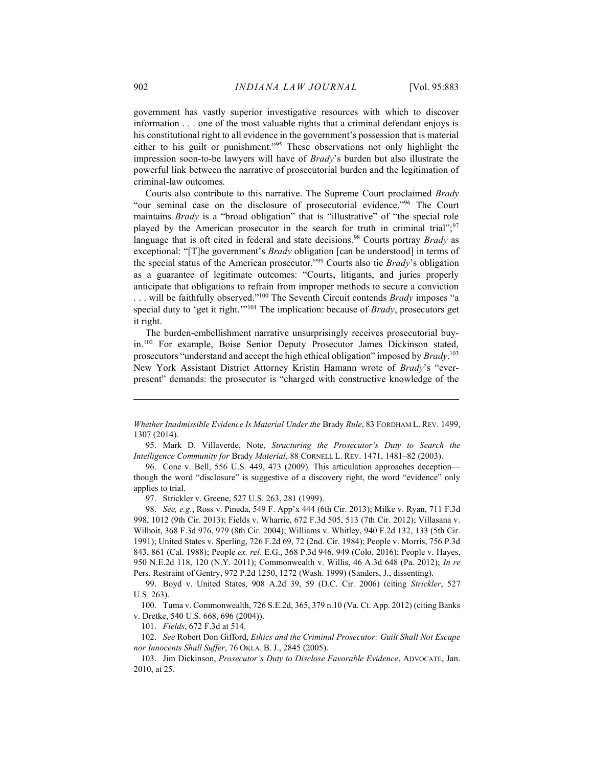government has vastly superior investigative resources with which to discover information . . . one of the most valuable rights that a criminal defendant enjoys is his constitutional right to all evidence in the government's possession that is material either to his guilt or punishment."<sup>95</sup> These observations not only highlight the impression soon-to-be lawyers will have of Brady's burden but also illustrate the powerful link between the narrative of prosecutorial burden and the legitimation of criminal-law outcomes.

Courts also contribute to this narrative. The Supreme Court proclaimed Brady "our seminal case on the disclosure of prosecutorial evidence."<sup>96</sup> The Court maintains *Brady* is a "broad obligation" that is "illustrative" of "the special role played by the American prosecutor in the search for truth in criminal trial";<sup>97</sup> language that is oft cited in federal and state decisions.<sup>98</sup> Courts portray Brady as exceptional: "[T]he government's *Brady* obligation [can be understood] in terms of the special status of the American prosecutor."<sup>99</sup> Courts also tie *Brady*'s obligation as a guarantee of legitimate outcomes: "Courts, litigants, and juries properly anticipate that obligations to refrain from improper methods to secure a conviction ... will be faithfully observed."<sup>100</sup> The Seventh Circuit contends Brady imposes "a special duty to 'get it right.'"<sup>101</sup> The implication: because of *Brady*, prosecutors get it right.

The burden-embellishment narrative unsurprisingly receives prosecutorial buyin.<sup>102</sup> For example, Boise Senior Deputy Prosecutor James Dickinson stated, prosecutors "understand and accept the high ethical obligation" imposed by Brady.<sup>103</sup> New York Assistant District Attorney Kristin Hamann wrote of Brady's "everpresent" demands: the prosecutor is "charged with constructive knowledge of the

97. Strickler v. Greene, 527 U.S. 263, 281 (1999).

 98. See, e.g., Ross v. Pineda, 549 F. App'x 444 (6th Cir. 2013); Milke v. Ryan, 711 F.3d 998, 1012 (9th Cir. 2013); Fields v. Wharrie, 672 F.3d 505, 513 (7th Cir. 2012); Villasana v. Wilhoit, 368 F.3d 976, 979 (8th Cir. 2004); Williams v. Whitley, 940 F.2d 132, 133 (5th Cir. 1991); United States v. Sperling, 726 F.2d 69, 72 (2nd. Cir. 1984); People v. Morris, 756 P.3d 843, 861 (Cal. 1988); People ex. rel. E.G., 368 P.3d 946, 949 (Colo. 2016); People v. Hayes, 950 N.E.2d 118, 120 (N.Y. 2011); Commonwealth v. Willis, 46 A.3d 648 (Pa. 2012); In re Pers. Restraint of Gentry, 972 P.2d 1250, 1272 (Wash. 1999) (Sanders, J., dissenting).

 99. Boyd v. United States, 908 A.2d 39, 59 (D.C. Cir. 2006) (citing Strickler, 527 U.S. 263).

 100. Tuma v. Commonwealth, 726 S.E.2d, 365, 379 n.10 (Va. Ct. App. 2012) (citing Banks v. Dretke, 540 U.S. 668, 696 (2004)).

101. Fields, 672 F.3d at 514.

 102. See Robert Don Gifford, Ethics and the Criminal Prosecutor: Guilt Shall Not Escape nor Innocents Shall Suffer, 76 OKLA. B. J., 2845 (2005).

Whether Inadmissible Evidence Is Material Under the Brady Rule, 83 FORDHAM L. REV. 1499, 1307 (2014).

 <sup>95.</sup> Mark D. Villaverde, Note, Structuring the Prosecutor's Duty to Search the Intelligence Community for Brady Material, 88 CORNELL L. REV. 1471, 1481–82 (2003).

 <sup>96.</sup> Cone v. Bell, 556 U.S. 449, 473 (2009). This articulation approaches deception though the word "disclosure" is suggestive of a discovery right, the word "evidence" only applies to trial.

 <sup>103.</sup> Jim Dickinson, Prosecutor's Duty to Disclose Favorable Evidence, ADVOCATE, Jan. 2010, at 25.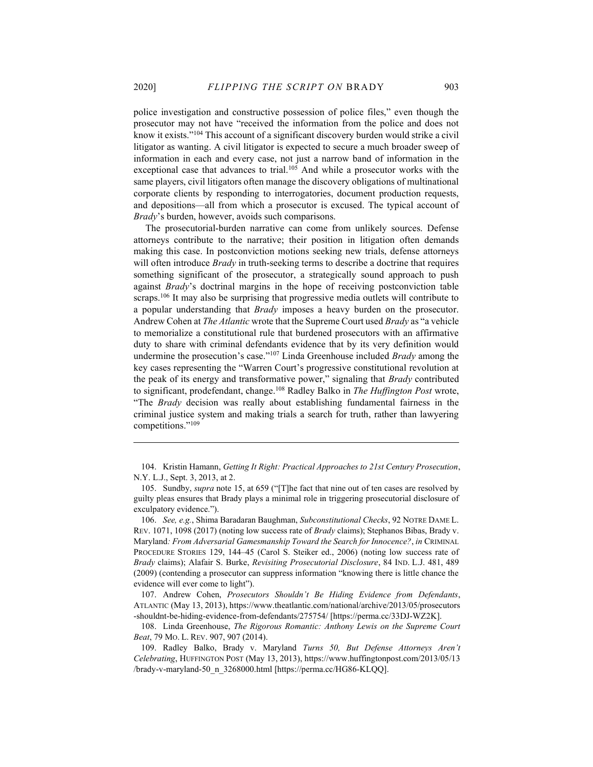police investigation and constructive possession of police files," even though the prosecutor may not have "received the information from the police and does not know it exists."<sup>104</sup> This account of a significant discovery burden would strike a civil litigator as wanting. A civil litigator is expected to secure a much broader sweep of information in each and every case, not just a narrow band of information in the exceptional case that advances to trial.<sup>105</sup> And while a prosecutor works with the same players, civil litigators often manage the discovery obligations of multinational corporate clients by responding to interrogatories, document production requests, and depositions—all from which a prosecutor is excused. The typical account of Brady's burden, however, avoids such comparisons.

The prosecutorial-burden narrative can come from unlikely sources. Defense attorneys contribute to the narrative; their position in litigation often demands making this case. In postconviction motions seeking new trials, defense attorneys will often introduce  $Brady$  in truth-seeking terms to describe a doctrine that requires something significant of the prosecutor, a strategically sound approach to push against *Brady's* doctrinal margins in the hope of receiving postconviction table scraps.<sup>106</sup> It may also be surprising that progressive media outlets will contribute to a popular understanding that Brady imposes a heavy burden on the prosecutor. Andrew Cohen at *The Atlantic* wrote that the Supreme Court used *Brady* as "a vehicle to memorialize a constitutional rule that burdened prosecutors with an affirmative duty to share with criminal defendants evidence that by its very definition would undermine the prosecution's case."<sup>107</sup> Linda Greenhouse included *Brady* among the key cases representing the "Warren Court's progressive constitutional revolution at the peak of its energy and transformative power," signaling that *Brady* contributed to significant, prodefendant, change.<sup>108</sup> Radley Balko in The Huffington Post wrote, "The Brady decision was really about establishing fundamental fairness in the criminal justice system and making trials a search for truth, rather than lawyering competitions."<sup>109</sup>

 <sup>104.</sup> Kristin Hamann, Getting It Right: Practical Approaches to 21st Century Prosecution, N.Y. L.J., Sept. 3, 2013, at 2.

 <sup>105.</sup> Sundby, supra note 15, at 659 ("[T]he fact that nine out of ten cases are resolved by guilty pleas ensures that Brady plays a minimal role in triggering prosecutorial disclosure of exculpatory evidence.").

<sup>106.</sup> See, e.g., Shima Baradaran Baughman, Subconstitutional Checks, 92 NOTRE DAME L. REV. 1071, 1098 (2017) (noting low success rate of *Brady* claims); Stephanos Bibas, Brady v. Maryland: From Adversarial Gamesmanship Toward the Search for Innocence?, in CRIMINAL PROCEDURE STORIES 129, 144–45 (Carol S. Steiker ed., 2006) (noting low success rate of Brady claims); Alafair S. Burke, Revisiting Prosecutorial Disclosure, 84 IND. L.J. 481, 489 (2009) (contending a prosecutor can suppress information "knowing there is little chance the evidence will ever come to light").

 <sup>107.</sup> Andrew Cohen, Prosecutors Shouldn't Be Hiding Evidence from Defendants, ATLANTIC (May 13, 2013), https://www.theatlantic.com/national/archive/2013/05/prosecutors -shouldnt-be-hiding-evidence-from-defendants/275754/ [https://perma.cc/33DJ-WZ2K].

 <sup>108.</sup> Linda Greenhouse, The Rigorous Romantic: Anthony Lewis on the Supreme Court Beat, 79 MO. L. REV. 907, 907 (2014).

 <sup>109.</sup> Radley Balko, Brady v. Maryland Turns 50, But Defense Attorneys Aren't Celebrating, HUFFINGTON POST (May 13, 2013), https://www.huffingtonpost.com/2013/05/13 /brady-v-maryland-50\_n\_3268000.html [https://perma.cc/HG86-KLQQ].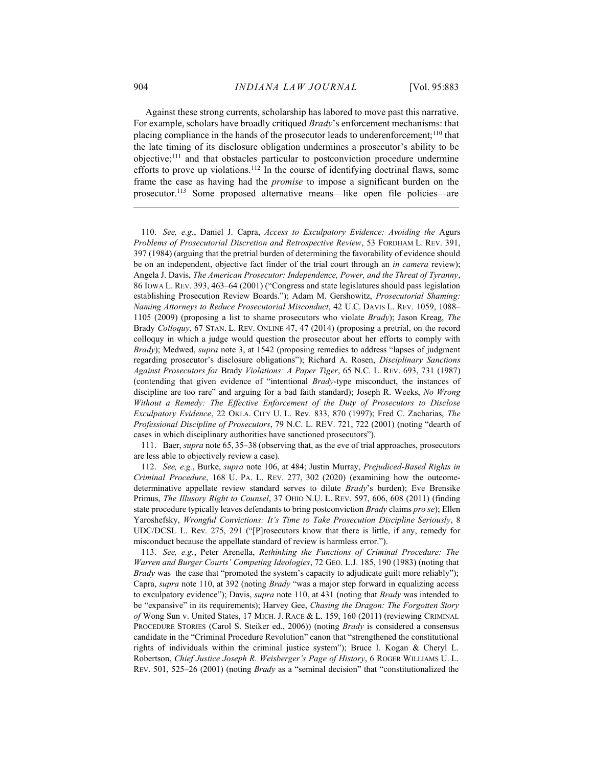Against these strong currents, scholarship has labored to move past this narrative. For example, scholars have broadly critiqued Brady's enforcement mechanisms: that placing compliance in the hands of the prosecutor leads to underenforcement;<sup>110</sup> that the late timing of its disclosure obligation undermines a prosecutor's ability to be objective;<sup>111</sup> and that obstacles particular to postconviction procedure undermine efforts to prove up violations.<sup>112</sup> In the course of identifying doctrinal flaws, some frame the case as having had the promise to impose a significant burden on the prosecutor.<sup>113</sup> Some proposed alternative means—like open file policies—are

 110. See, e.g., Daniel J. Capra, Access to Exculpatory Evidence: Avoiding the Agurs Problems of Prosecutorial Discretion and Retrospective Review, 53 FORDHAM L. REV. 391, 397 (1984) (arguing that the pretrial burden of determining the favorability of evidence should be on an independent, objective fact finder of the trial court through an in camera review); Angela J. Davis, The American Prosecutor: Independence, Power, and the Threat of Tyranny, 86 IOWA L. REV. 393, 463–64 (2001) ("Congress and state legislatures should pass legislation establishing Prosecution Review Boards."); Adam M. Gershowitz, Prosecutorial Shaming: Naming Attorneys to Reduce Prosecutorial Misconduct, 42 U.C. DAVIS L. REV. 1059, 1088– 1105 (2009) (proposing a list to shame prosecutors who violate Brady); Jason Kreag, The Brady Colloquy, 67 STAN. L. REV. ONLINE 47, 47 (2014) (proposing a pretrial, on the record colloquy in which a judge would question the prosecutor about her efforts to comply with Brady); Medwed, supra note 3, at 1542 (proposing remedies to address "lapses of judgment regarding prosecutor's disclosure obligations"); Richard A. Rosen, Disciplinary Sanctions Against Prosecutors for Brady Violations: A Paper Tiger, 65 N.C. L. REV. 693, 731 (1987) (contending that given evidence of "intentional Brady-type misconduct, the instances of discipline are too rare" and arguing for a bad faith standard); Joseph R. Weeks, No Wrong Without a Remedy: The Effective Enforcement of the Duty of Prosecutors to Disclose Exculpatory Evidence, 22 OKLA. CITY U. L. Rev. 833, 870 (1997); Fred C. Zacharias, The Professional Discipline of Prosecutors, 79 N.C. L. REV. 721, 722 (2001) (noting "dearth of cases in which disciplinary authorities have sanctioned prosecutors").

 111. Baer, supra note 65, 35–38 (observing that, as the eve of trial approaches, prosecutors are less able to objectively review a case).

 112. See, e.g., Burke, supra note 106, at 484; Justin Murray, Prejudiced-Based Rights in Criminal Procedure, 168 U. PA. L. REV. 277, 302 (2020) (examining how the outcomedeterminative appellate review standard serves to dilute Brady's burden); Eve Brensike Primus, The Illusory Right to Counsel, 37 OHIO N.U. L. REV. 597, 606, 608 (2011) (finding state procedure typically leaves defendants to bring postconviction *Brady* claims *pro se*); Ellen Yaroshefsky, Wrongful Convictions: It's Time to Take Prosecution Discipline Seriously, 8 UDC/DCSL L. Rev. 275, 291 ("[P]rosecutors know that there is little, if any, remedy for misconduct because the appellate standard of review is harmless error.").

 113. See, e.g., Peter Arenella, Rethinking the Functions of Criminal Procedure: The Warren and Burger Courts' Competing Ideologies, 72 GEO. L.J. 185, 190 (1983) (noting that Brady was the case that "promoted the system's capacity to adjudicate guilt more reliably"); Capra, supra note 110, at 392 (noting Brady "was a major step forward in equalizing access to exculpatory evidence"); Davis, supra note 110, at 431 (noting that Brady was intended to be "expansive" in its requirements); Harvey Gee, Chasing the Dragon: The Forgotten Story of Wong Sun v. United States, 17 MICH. J. RACE & L. 159, 160 (2011) (reviewing CRIMINAL PROCEDURE STORIES (Carol S. Steiker ed., 2006)) (noting *Brady* is considered a consensus candidate in the "Criminal Procedure Revolution" canon that "strengthened the constitutional rights of individuals within the criminal justice system"); Bruce I. Kogan & Cheryl L. Robertson, Chief Justice Joseph R. Weisberger's Page of History, 6 ROGER WILLIAMS U. L. REV. 501, 525–26 (2001) (noting Brady as a "seminal decision" that "constitutionalized the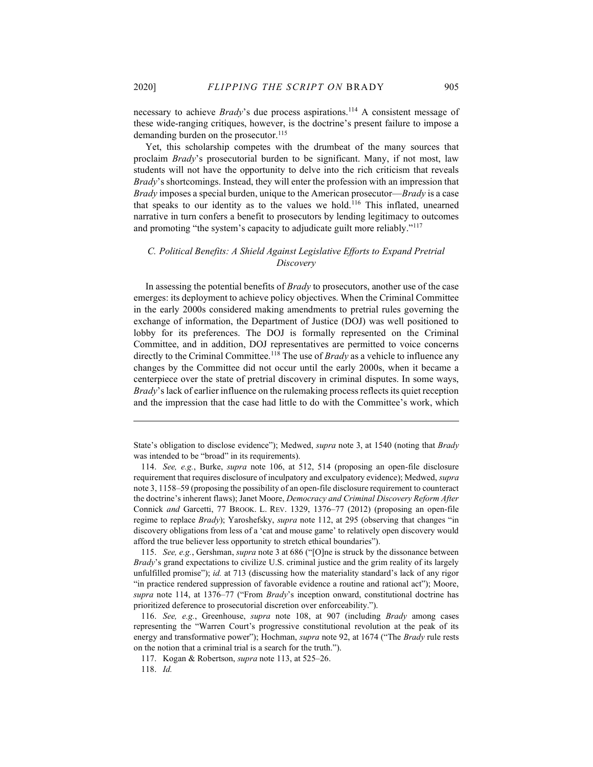necessary to achieve *Brady's* due process aspirations.<sup>114</sup> A consistent message of these wide-ranging critiques, however, is the doctrine's present failure to impose a demanding burden on the prosecutor.<sup>115</sup>

Yet, this scholarship competes with the drumbeat of the many sources that proclaim Brady's prosecutorial burden to be significant. Many, if not most, law students will not have the opportunity to delve into the rich criticism that reveals Brady's shortcomings. Instead, they will enter the profession with an impression that Brady imposes a special burden, unique to the American prosecutor—Brady is a case that speaks to our identity as to the values we hold.<sup>116</sup> This inflated, unearned narrative in turn confers a benefit to prosecutors by lending legitimacy to outcomes and promoting "the system's capacity to adjudicate guilt more reliably."<sup>117</sup>

## C. Political Benefits: A Shield Against Legislative Efforts to Expand Pretrial Discovery

In assessing the potential benefits of Brady to prosecutors, another use of the case emerges: its deployment to achieve policy objectives. When the Criminal Committee in the early 2000s considered making amendments to pretrial rules governing the exchange of information, the Department of Justice (DOJ) was well positioned to lobby for its preferences. The DOJ is formally represented on the Criminal Committee, and in addition, DOJ representatives are permitted to voice concerns directly to the Criminal Committee.<sup>118</sup> The use of *Brady* as a vehicle to influence any changes by the Committee did not occur until the early 2000s, when it became a centerpiece over the state of pretrial discovery in criminal disputes. In some ways, Brady's lack of earlier influence on the rulemaking process reflects its quiet reception and the impression that the case had little to do with the Committee's work, which

State's obligation to disclose evidence"); Medwed, supra note 3, at 1540 (noting that Brady was intended to be "broad" in its requirements).

 114. See, e.g., Burke, supra note 106, at 512, 514 (proposing an open-file disclosure requirement that requires disclosure of inculpatory and exculpatory evidence); Medwed, supra note 3, 1158–59 (proposing the possibility of an open-file disclosure requirement to counteract the doctrine's inherent flaws); Janet Moore, Democracy and Criminal Discovery Reform After Connick and Garcetti, 77 BROOK. L. REV. 1329, 1376–77 (2012) (proposing an open-file regime to replace Brady); Yaroshefsky, supra note 112, at 295 (observing that changes "in discovery obligations from less of a 'cat and mouse game' to relatively open discovery would afford the true believer less opportunity to stretch ethical boundaries").

 115. See, e.g., Gershman, supra note 3 at 686 ("[O]ne is struck by the dissonance between Brady's grand expectations to civilize U.S. criminal justice and the grim reality of its largely unfulfilled promise"); id. at 713 (discussing how the materiality standard's lack of any rigor "in practice rendered suppression of favorable evidence a routine and rational act"); Moore, supra note 114, at 1376–77 ("From Brady's inception onward, constitutional doctrine has prioritized deference to prosecutorial discretion over enforceability.").

 116. See, e.g., Greenhouse, supra note 108, at 907 (including Brady among cases representing the "Warren Court's progressive constitutional revolution at the peak of its energy and transformative power"); Hochman, *supra* note 92, at 1674 ("The *Brady* rule rests on the notion that a criminal trial is a search for the truth.").

 <sup>117.</sup> Kogan & Robertson, supra note 113, at 525–26.

 <sup>118.</sup> Id.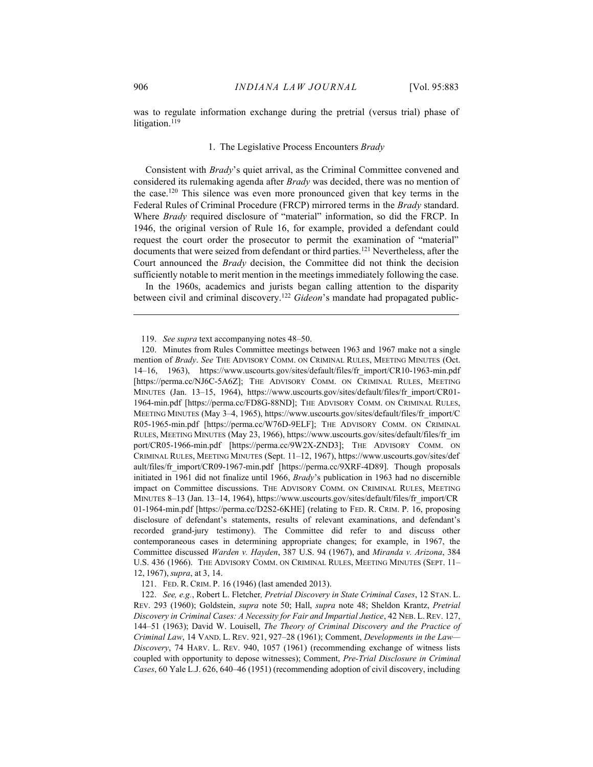was to regulate information exchange during the pretrial (versus trial) phase of litigation.<sup>119</sup>

#### 1. The Legislative Process Encounters Brady

Consistent with Brady's quiet arrival, as the Criminal Committee convened and considered its rulemaking agenda after Brady was decided, there was no mention of the case.<sup>120</sup> This silence was even more pronounced given that key terms in the Federal Rules of Criminal Procedure (FRCP) mirrored terms in the Brady standard. Where *Brady* required disclosure of "material" information, so did the FRCP. In 1946, the original version of Rule 16, for example, provided a defendant could request the court order the prosecutor to permit the examination of "material" documents that were seized from defendant or third parties.<sup>121</sup> Nevertheless, after the Court announced the Brady decision, the Committee did not think the decision sufficiently notable to merit mention in the meetings immediately following the case.

In the 1960s, academics and jurists began calling attention to the disparity between civil and criminal discovery.<sup>122</sup> Gideon's mandate had propagated public-

121. FED. R. CRIM. P. 16 (1946) (last amended 2013).

 <sup>119.</sup> See supra text accompanying notes 48–50.

 <sup>120.</sup> Minutes from Rules Committee meetings between 1963 and 1967 make not a single mention of Brady. See THE ADVISORY COMM. ON CRIMINAL RULES, MEETING MINUTES (Oct. 14–16, 1963), https://www.uscourts.gov/sites/default/files/fr\_import/CR10-1963-min.pdf [https://perma.cc/NJ6C-5A6Z]; THE ADVISORY COMM. ON CRIMINAL RULES, MEETING MINUTES (Jan. 13–15, 1964), https://www.uscourts.gov/sites/default/files/fr\_import/CR01-1964-min.pdf [https://perma.cc/FD8G-88ND]; THE ADVISORY COMM. ON CRIMINAL RULES, MEETING MINUTES (May 3–4, 1965), https://www.uscourts.gov/sites/default/files/fr\_import/C R05-1965-min.pdf [https://perma.cc/W76D-9ELF]; THE ADVISORY COMM. ON CRIMINAL RULES, MEETING MINUTES (May 23, 1966), https://www.uscourts.gov/sites/default/files/fr\_im port/CR05-1966-min.pdf [https://perma.cc/9W2X-ZND3]; THE ADVISORY COMM. ON CRIMINAL RULES, MEETING MINUTES (Sept. 11–12, 1967), https://www.uscourts.gov/sites/def ault/files/fr\_import/CR09-1967-min.pdf [https://perma.cc/9XRF-4D89]. Though proposals initiated in 1961 did not finalize until 1966, Brady's publication in 1963 had no discernible impact on Committee discussions. THE ADVISORY COMM. ON CRIMINAL RULES, MEETING MINUTES 8–13 (Jan. 13–14, 1964), https://www.uscourts.gov/sites/default/files/fr\_import/CR 01-1964-min.pdf [https://perma.cc/D2S2-6KHE] (relating to FED. R. CRIM. P. 16, proposing disclosure of defendant's statements, results of relevant examinations, and defendant's recorded grand-jury testimony). The Committee did refer to and discuss other contemporaneous cases in determining appropriate changes; for example, in 1967, the Committee discussed Warden v. Hayden, 387 U.S. 94 (1967), and Miranda v. Arizona, 384 U.S. 436 (1966). THE ADVISORY COMM. ON CRIMINAL RULES, MEETING MINUTES (SEPT. 11– 12, 1967), supra, at 3, 14.

<sup>122.</sup> See, e.g., Robert L. Fletcher, Pretrial Discovery in State Criminal Cases, 12 STAN. L. REV. 293 (1960); Goldstein, supra note 50; Hall, supra note 48; Sheldon Krantz, Pretrial Discovery in Criminal Cases: A Necessity for Fair and Impartial Justice, 42 NEB. L. REV. 127, 144–51 (1963); David W. Louisell, The Theory of Criminal Discovery and the Practice of Criminal Law, 14 VAND. L. REV. 921, 927–28 (1961); Comment, Developments in the Law— Discovery, 74 HARV. L. REV. 940, 1057 (1961) (recommending exchange of witness lists coupled with opportunity to depose witnesses); Comment, Pre-Trial Disclosure in Criminal Cases, 60 Yale L.J. 626, 640–46 (1951) (recommending adoption of civil discovery, including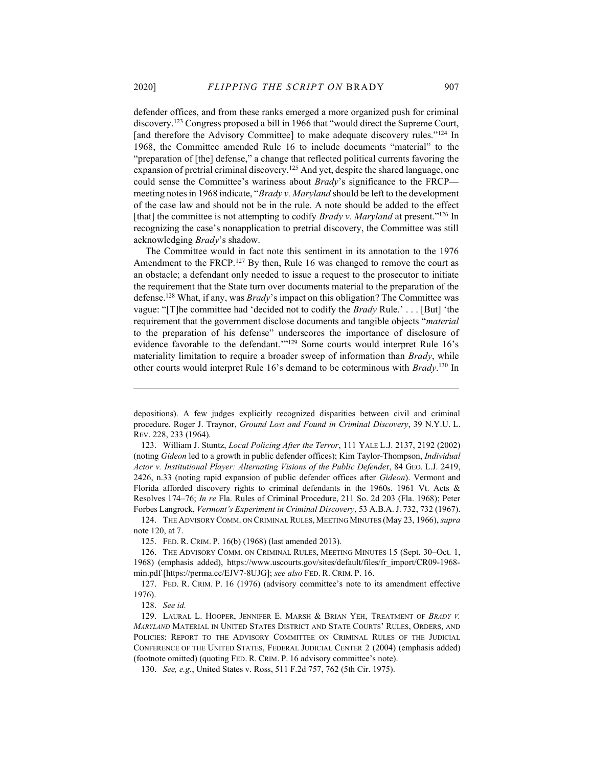defender offices, and from these ranks emerged a more organized push for criminal discovery.<sup>123</sup> Congress proposed a bill in 1966 that "would direct the Supreme Court, [and therefore the Advisory Committee] to make adequate discovery rules."<sup>124</sup> In 1968, the Committee amended Rule 16 to include documents "material" to the "preparation of [the] defense," a change that reflected political currents favoring the expansion of pretrial criminal discovery.<sup>125</sup> And yet, despite the shared language, one could sense the Committee's wariness about *Brady*'s significance to the FRCP meeting notes in 1968 indicate, "Brady v. Maryland should be left to the development of the case law and should not be in the rule. A note should be added to the effect [that] the committee is not attempting to codify *Brady v. Maryland* at present."<sup>126</sup> In recognizing the case's nonapplication to pretrial discovery, the Committee was still acknowledging Brady's shadow.

The Committee would in fact note this sentiment in its annotation to the 1976 Amendment to the FRCP.<sup>127</sup> By then, Rule 16 was changed to remove the court as an obstacle; a defendant only needed to issue a request to the prosecutor to initiate the requirement that the State turn over documents material to the preparation of the defense.<sup>128</sup> What, if any, was *Brady*'s impact on this obligation? The Committee was vague: "[T]he committee had 'decided not to codify the Brady Rule.' . . . [But] 'the requirement that the government disclose documents and tangible objects "material to the preparation of his defense" underscores the importance of disclosure of evidence favorable to the defendant.'"<sup>129</sup> Some courts would interpret Rule 16's materiality limitation to require a broader sweep of information than Brady, while other courts would interpret Rule 16's demand to be coterminous with Brady.<sup>130</sup> In

depositions). A few judges explicitly recognized disparities between civil and criminal procedure. Roger J. Traynor, Ground Lost and Found in Criminal Discovery, 39 N.Y.U. L. REV. 228, 233 (1964).

 <sup>123.</sup> William J. Stuntz, Local Policing After the Terror, 111 YALE L.J. 2137, 2192 (2002) (noting Gideon led to a growth in public defender offices); Kim Taylor-Thompson, Individual Actor v. Institutional Player: Alternating Visions of the Public Defender, 84 GEO. L.J. 2419, 2426, n.33 (noting rapid expansion of public defender offices after Gideon). Vermont and Florida afforded discovery rights to criminal defendants in the 1960s. 1961 Vt. Acts & Resolves 174–76; In re Fla. Rules of Criminal Procedure, 211 So. 2d 203 (Fla. 1968); Peter Forbes Langrock, Vermont's Experiment in Criminal Discovery, 53 A.B.A.J. 732, 732 (1967).

 <sup>124.</sup> THE ADVISORY COMM. ON CRIMINAL RULES, MEETING MINUTES (May 23, 1966), supra note 120, at 7.

 <sup>125.</sup> FED. R. CRIM. P. 16(b) (1968) (last amended 2013).

 <sup>126.</sup> THE ADVISORY COMM. ON CRIMINAL RULES, MEETING MINUTES 15 (Sept. 30–Oct. 1, 1968) (emphasis added), https://www.uscourts.gov/sites/default/files/fr\_import/CR09-1968 min.pdf [https://perma.cc/EJV7-8UJG]; see also FED. R. CRIM. P. 16.

 <sup>127.</sup> FED. R. CRIM. P. 16 (1976) (advisory committee's note to its amendment effective 1976).

 <sup>128.</sup> See id.

<sup>129.</sup> LAURAL L. HOOPER, JENNIFER E. MARSH & BRIAN YEH, TREATMENT OF BRADY V. MARYLAND MATERIAL IN UNITED STATES DISTRICT AND STATE COURTS' RULES, ORDERS, AND POLICIES: REPORT TO THE ADVISORY COMMITTEE ON CRIMINAL RULES OF THE JUDICIAL CONFERENCE OF THE UNITED STATES, FEDERAL JUDICIAL CENTER 2 (2004) (emphasis added) (footnote omitted) (quoting FED. R. CRIM. P. 16 advisory committee's note).

 <sup>130.</sup> See, e.g., United States v. Ross, 511 F.2d 757, 762 (5th Cir. 1975).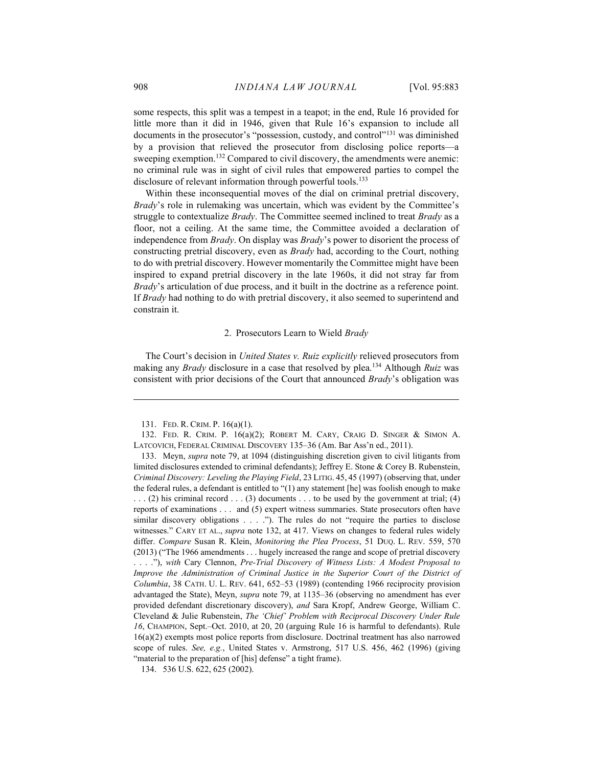some respects, this split was a tempest in a teapot; in the end, Rule 16 provided for little more than it did in 1946, given that Rule 16's expansion to include all documents in the prosecutor's "possession, custody, and control"<sup>131</sup> was diminished by a provision that relieved the prosecutor from disclosing police reports—a sweeping exemption.<sup>132</sup> Compared to civil discovery, the amendments were anemic: no criminal rule was in sight of civil rules that empowered parties to compel the disclosure of relevant information through powerful tools.<sup>133</sup>

Within these inconsequential moves of the dial on criminal pretrial discovery, Brady's role in rulemaking was uncertain, which was evident by the Committee's struggle to contextualize *Brady*. The Committee seemed inclined to treat *Brady* as a floor, not a ceiling. At the same time, the Committee avoided a declaration of independence from Brady. On display was Brady's power to disorient the process of constructing pretrial discovery, even as Brady had, according to the Court, nothing to do with pretrial discovery. However momentarily the Committee might have been inspired to expand pretrial discovery in the late 1960s, it did not stray far from Brady's articulation of due process, and it built in the doctrine as a reference point. If Brady had nothing to do with pretrial discovery, it also seemed to superintend and constrain it.

## 2. Prosecutors Learn to Wield Brady

The Court's decision in United States v. Ruiz explicitly relieved prosecutors from making any Brady disclosure in a case that resolved by plea.<sup>134</sup> Although Ruiz was consistent with prior decisions of the Court that announced Brady's obligation was

 <sup>131.</sup> FED. R. CRIM. P. 16(a)(1).

 <sup>132.</sup> FED. R. CRIM. P. 16(a)(2); ROBERT M. CARY, CRAIG D. SINGER & SIMON A. LATCOVICH, FEDERAL CRIMINAL DISCOVERY 135–36 (Am. Bar Ass'n ed., 2011).

 <sup>133.</sup> Meyn, supra note 79, at 1094 (distinguishing discretion given to civil litigants from limited disclosures extended to criminal defendants); Jeffrey E. Stone & Corey B. Rubenstein, Criminal Discovery: Leveling the Playing Field, 23 LITIG. 45, 45 (1997) (observing that, under the federal rules, a defendant is entitled to "(1) any statement [he] was foolish enough to make  $\ldots$  (2) his criminal record  $\ldots$  (3) documents . . . to be used by the government at trial; (4) reports of examinations . . . and (5) expert witness summaries. State prosecutors often have similar discovery obligations . . . ."). The rules do not "require the parties to disclose witnesses." CARY ET AL., *supra* note 132, at 417. Views on changes to federal rules widely differ. Compare Susan R. Klein, Monitoring the Plea Process, 51 DUQ. L. REV. 559, 570 (2013) ("The 1966 amendments . . . hugely increased the range and scope of pretrial discovery . . . ."), with Cary Clennon, Pre-Trial Discovery of Witness Lists: A Modest Proposal to Improve the Administration of Criminal Justice in the Superior Court of the District of Columbia, 38 CATH. U. L. REV. 641, 652–53 (1989) (contending 1966 reciprocity provision advantaged the State), Meyn, supra note 79, at 1135–36 (observing no amendment has ever provided defendant discretionary discovery), and Sara Kropf, Andrew George, William C. Cleveland & Julie Rubenstein, The 'Chief' Problem with Reciprocal Discovery Under Rule 16, CHAMPION, Sept.–Oct. 2010, at 20, 20 (arguing Rule 16 is harmful to defendants). Rule 16(a)(2) exempts most police reports from disclosure. Doctrinal treatment has also narrowed scope of rules. See, e.g., United States v. Armstrong, 517 U.S. 456, 462 (1996) (giving "material to the preparation of [his] defense" a tight frame).

 <sup>134. 536</sup> U.S. 622, 625 (2002).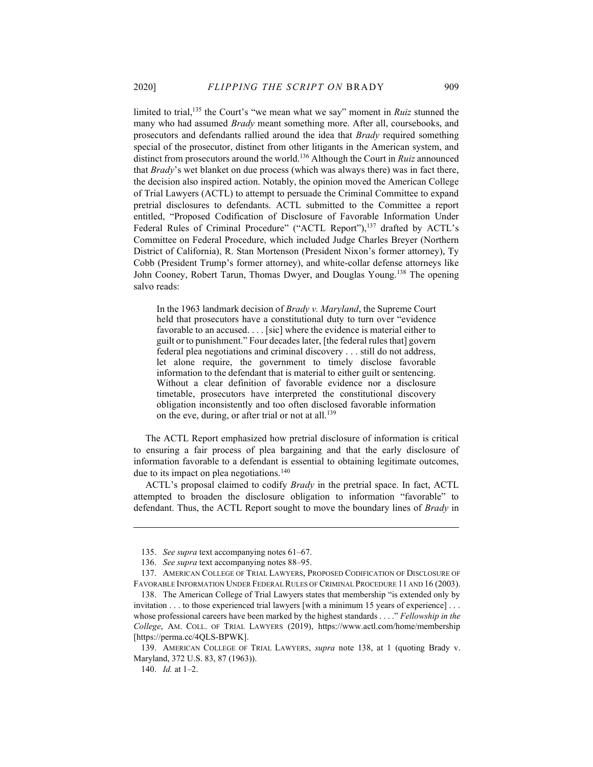limited to trial,<sup>135</sup> the Court's "we mean what we say" moment in *Ruiz* stunned the many who had assumed *Brady* meant something more. After all, coursebooks, and prosecutors and defendants rallied around the idea that Brady required something special of the prosecutor, distinct from other litigants in the American system, and distinct from prosecutors around the world.<sup>136</sup> Although the Court in Ruiz announced that Brady's wet blanket on due process (which was always there) was in fact there, the decision also inspired action. Notably, the opinion moved the American College of Trial Lawyers (ACTL) to attempt to persuade the Criminal Committee to expand pretrial disclosures to defendants. ACTL submitted to the Committee a report entitled, "Proposed Codification of Disclosure of Favorable Information Under Federal Rules of Criminal Procedure" ("ACTL Report"),<sup>137</sup> drafted by ACTL's Committee on Federal Procedure, which included Judge Charles Breyer (Northern District of California), R. Stan Mortenson (President Nixon's former attorney), Ty Cobb (President Trump's former attorney), and white-collar defense attorneys like John Cooney, Robert Tarun, Thomas Dwyer, and Douglas Young.<sup>138</sup> The opening salvo reads:

In the 1963 landmark decision of Brady v. Maryland, the Supreme Court held that prosecutors have a constitutional duty to turn over "evidence favorable to an accused. . . . [sic] where the evidence is material either to guilt or to punishment." Four decades later, [the federal rules that] govern federal plea negotiations and criminal discovery . . . still do not address, let alone require, the government to timely disclose favorable information to the defendant that is material to either guilt or sentencing. Without a clear definition of favorable evidence nor a disclosure timetable, prosecutors have interpreted the constitutional discovery obligation inconsistently and too often disclosed favorable information on the eve, during, or after trial or not at all.<sup>139</sup>

The ACTL Report emphasized how pretrial disclosure of information is critical to ensuring a fair process of plea bargaining and that the early disclosure of information favorable to a defendant is essential to obtaining legitimate outcomes, due to its impact on plea negotiations.<sup>140</sup>

ACTL's proposal claimed to codify Brady in the pretrial space. In fact, ACTL attempted to broaden the disclosure obligation to information "favorable" to defendant. Thus, the ACTL Report sought to move the boundary lines of Brady in

 <sup>135.</sup> See supra text accompanying notes 61–67.

<sup>136.</sup> See supra text accompanying notes 88–95.

 <sup>137.</sup> AMERICAN COLLEGE OF TRIAL LAWYERS, PROPOSED CODIFICATION OF DISCLOSURE OF FAVORABLE INFORMATION UNDER FEDERAL RULES OF CRIMINAL PROCEDURE 11 AND 16 (2003).

 <sup>138.</sup> The American College of Trial Lawyers states that membership "is extended only by invitation . . . to those experienced trial lawyers [with a minimum 15 years of experience] . . . whose professional careers have been marked by the highest standards . . . ." Fellowship in the College, AM. COLL. OF TRIAL LAWYERS (2019), https://www.actl.com/home/membership [https://perma.cc/4QLS-BPWK].

<sup>139.</sup> AMERICAN COLLEGE OF TRIAL LAWYERS, *supra* note 138, at 1 (quoting Brady v. Maryland, 372 U.S. 83, 87 (1963)).

 <sup>140.</sup> Id. at 1–2.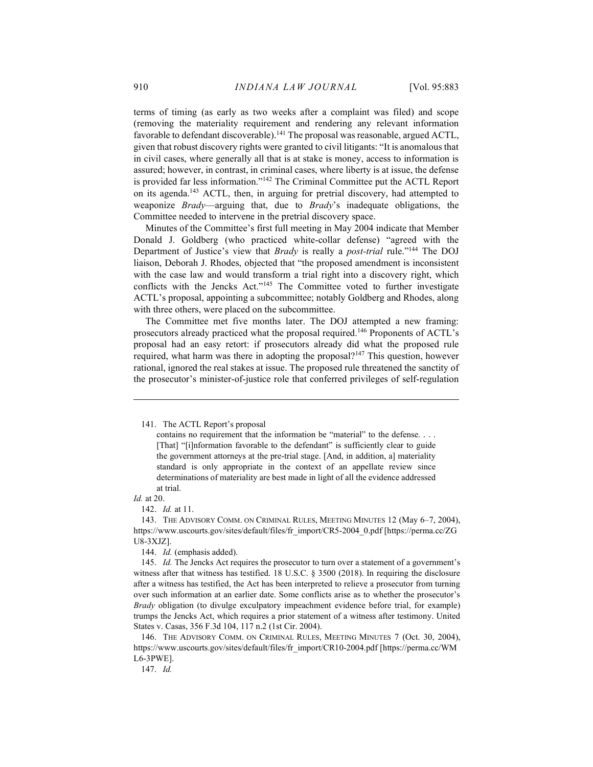terms of timing (as early as two weeks after a complaint was filed) and scope (removing the materiality requirement and rendering any relevant information favorable to defendant discoverable).<sup>141</sup> The proposal was reasonable, argued ACTL, given that robust discovery rights were granted to civil litigants: "It is anomalous that in civil cases, where generally all that is at stake is money, access to information is assured; however, in contrast, in criminal cases, where liberty is at issue, the defense is provided far less information."<sup>142</sup> The Criminal Committee put the ACTL Report on its agenda.<sup>143</sup> ACTL, then, in arguing for pretrial discovery, had attempted to weaponize Brady—arguing that, due to Brady's inadequate obligations, the Committee needed to intervene in the pretrial discovery space.

Minutes of the Committee's first full meeting in May 2004 indicate that Member Donald J. Goldberg (who practiced white-collar defense) "agreed with the Department of Justice's view that *Brady* is really a *post-trial* rule."<sup>144</sup> The DOJ liaison, Deborah J. Rhodes, objected that "the proposed amendment is inconsistent with the case law and would transform a trial right into a discovery right, which conflicts with the Jencks Act."<sup>145</sup> The Committee voted to further investigate ACTL's proposal, appointing a subcommittee; notably Goldberg and Rhodes, along with three others, were placed on the subcommittee.

The Committee met five months later. The DOJ attempted a new framing: prosecutors already practiced what the proposal required.<sup>146</sup> Proponents of ACTL's proposal had an easy retort: if prosecutors already did what the proposed rule required, what harm was there in adopting the proposal?<sup>147</sup> This question, however rational, ignored the real stakes at issue. The proposed rule threatened the sanctity of the prosecutor's minister-of-justice role that conferred privileges of self-regulation

Id. at 20.

147. Id.

 <sup>141.</sup> The ACTL Report's proposal

contains no requirement that the information be "material" to the defense. . . . [That] "[i]nformation favorable to the defendant" is sufficiently clear to guide the government attorneys at the pre-trial stage. [And, in addition, a] materiality standard is only appropriate in the context of an appellate review since determinations of materiality are best made in light of all the evidence addressed at trial.

 <sup>142.</sup> Id. at 11.

 <sup>143.</sup> THE ADVISORY COMM. ON CRIMINAL RULES, MEETING MINUTES 12 (May 6–7, 2004), https://www.uscourts.gov/sites/default/files/fr\_import/CR5-2004\_0.pdf [https://perma.cc/ZG U8-3XJZ].

<sup>144.</sup> Id. (emphasis added).

<sup>145.</sup> *Id.* The Jencks Act requires the prosecutor to turn over a statement of a government's witness after that witness has testified. 18 U.S.C. § 3500 (2018). In requiring the disclosure after a witness has testified, the Act has been interpreted to relieve a prosecutor from turning over such information at an earlier date. Some conflicts arise as to whether the prosecutor's Brady obligation (to divulge exculpatory impeachment evidence before trial, for example) trumps the Jencks Act, which requires a prior statement of a witness after testimony. United States v. Casas, 356 F.3d 104, 117 n.2 (1st Cir. 2004).

 <sup>146.</sup> THE ADVISORY COMM. ON CRIMINAL RULES, MEETING MINUTES 7 (Oct. 30, 2004), https://www.uscourts.gov/sites/default/files/fr\_import/CR10-2004.pdf [https://perma.cc/WM L6-3PWE].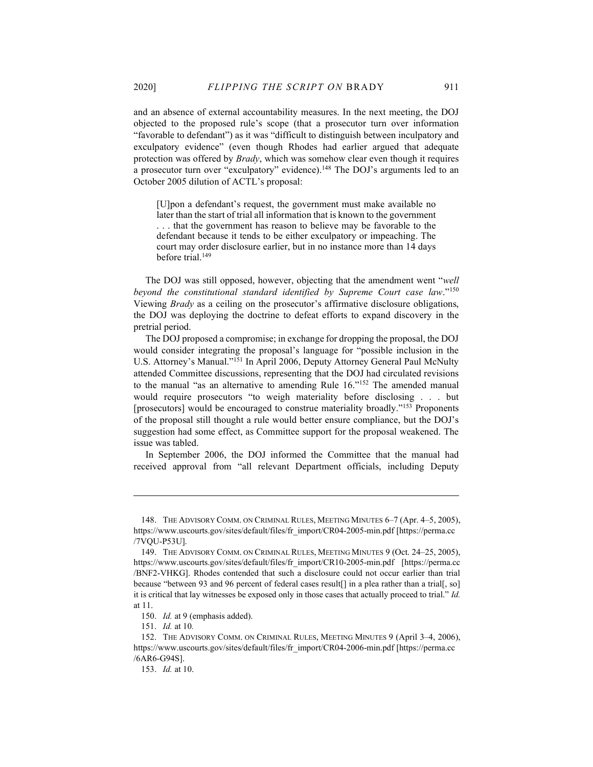and an absence of external accountability measures. In the next meeting, the DOJ objected to the proposed rule's scope (that a prosecutor turn over information "favorable to defendant") as it was "difficult to distinguish between inculpatory and exculpatory evidence" (even though Rhodes had earlier argued that adequate protection was offered by *Brady*, which was somehow clear even though it requires a prosecutor turn over "exculpatory" evidence).<sup>148</sup> The DOJ's arguments led to an October 2005 dilution of ACTL's proposal:

[U]pon a defendant's request, the government must make available no later than the start of trial all information that is known to the government . . . that the government has reason to believe may be favorable to the defendant because it tends to be either exculpatory or impeaching. The court may order disclosure earlier, but in no instance more than 14 days before trial.<sup>149</sup>

The DOJ was still opposed, however, objecting that the amendment went "well beyond the constitutional standard identified by Supreme Court case law."<sup>150</sup> Viewing Brady as a ceiling on the prosecutor's affirmative disclosure obligations, the DOJ was deploying the doctrine to defeat efforts to expand discovery in the pretrial period.

The DOJ proposed a compromise; in exchange for dropping the proposal, the DOJ would consider integrating the proposal's language for "possible inclusion in the U.S. Attorney's Manual."<sup>151</sup> In April 2006, Deputy Attorney General Paul McNulty attended Committee discussions, representing that the DOJ had circulated revisions to the manual "as an alternative to amending Rule 16."<sup>152</sup> The amended manual would require prosecutors "to weigh materiality before disclosing . . . but [prosecutors] would be encouraged to construe materiality broadly."<sup>153</sup> Proponents of the proposal still thought a rule would better ensure compliance, but the DOJ's suggestion had some effect, as Committee support for the proposal weakened. The issue was tabled.

In September 2006, the DOJ informed the Committee that the manual had received approval from "all relevant Department officials, including Deputy

 <sup>148.</sup> THE ADVISORY COMM. ON CRIMINAL RULES, MEETING MINUTES 6–7 (Apr. 4–5, 2005), https://www.uscourts.gov/sites/default/files/fr\_import/CR04-2005-min.pdf [https://perma.cc /7VQU-P53U].

 <sup>149.</sup> THE ADVISORY COMM. ON CRIMINAL RULES, MEETING MINUTES 9 (Oct. 24–25, 2005), https://www.uscourts.gov/sites/default/files/fr\_import/CR10-2005-min.pdf [https://perma.cc /BNF2-VHKG]. Rhodes contended that such a disclosure could not occur earlier than trial because "between 93 and 96 percent of federal cases result[] in a plea rather than a trial[, so] it is critical that lay witnesses be exposed only in those cases that actually proceed to trial." Id. at 11.

 <sup>150.</sup> Id. at 9 (emphasis added).

 <sup>151.</sup> Id. at 10.

 <sup>152.</sup> THE ADVISORY COMM. ON CRIMINAL RULES, MEETING MINUTES 9 (April 3–4, 2006), https://www.uscourts.gov/sites/default/files/fr\_import/CR04-2006-min.pdf [https://perma.cc /6AR6-G94S].

 <sup>153.</sup> Id. at 10.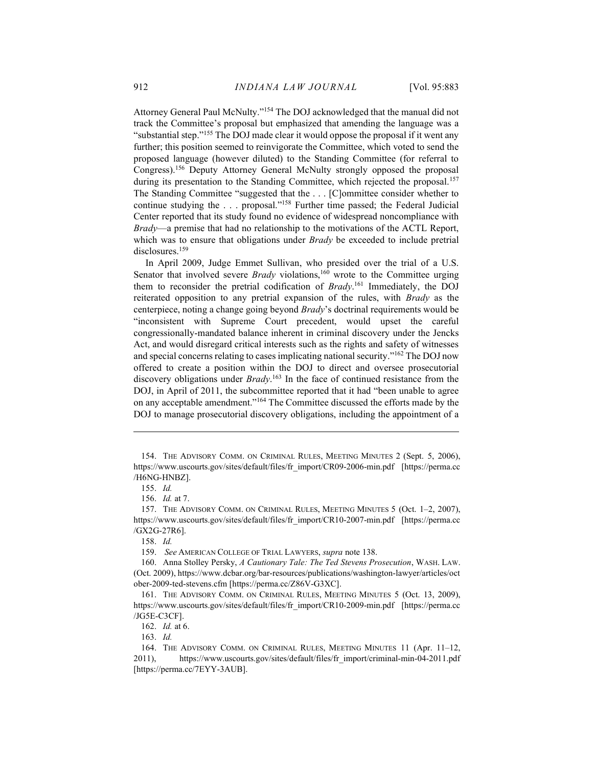Attorney General Paul McNulty."<sup>154</sup> The DOJ acknowledged that the manual did not track the Committee's proposal but emphasized that amending the language was a "substantial step."<sup>155</sup> The DOJ made clear it would oppose the proposal if it went any further; this position seemed to reinvigorate the Committee, which voted to send the proposed language (however diluted) to the Standing Committee (for referral to Congress).<sup>156</sup> Deputy Attorney General McNulty strongly opposed the proposal during its presentation to the Standing Committee, which rejected the proposal.<sup>157</sup> The Standing Committee "suggested that the . . . [C]ommittee consider whether to continue studying the . . . proposal."<sup>158</sup> Further time passed; the Federal Judicial Center reported that its study found no evidence of widespread noncompliance with Brady—a premise that had no relationship to the motivations of the ACTL Report, which was to ensure that obligations under *Brady* be exceeded to include pretrial disclosures.<sup>159</sup>

In April 2009, Judge Emmet Sullivan, who presided over the trial of a U.S. Senator that involved severe *Brady* violations,<sup>160</sup> wrote to the Committee urging them to reconsider the pretrial codification of Brady.<sup>161</sup> Immediately, the DOJ reiterated opposition to any pretrial expansion of the rules, with Brady as the centerpiece, noting a change going beyond Brady's doctrinal requirements would be "inconsistent with Supreme Court precedent, would upset the careful congressionally-mandated balance inherent in criminal discovery under the Jencks Act, and would disregard critical interests such as the rights and safety of witnesses and special concerns relating to cases implicating national security."<sup>162</sup> The DOJ now offered to create a position within the DOJ to direct and oversee prosecutorial discovery obligations under  $Brady$ .<sup>163</sup> In the face of continued resistance from the DOJ, in April of 2011, the subcommittee reported that it had "been unable to agree on any acceptable amendment."<sup>164</sup> The Committee discussed the efforts made by the DOJ to manage prosecutorial discovery obligations, including the appointment of a

156. Id. at 7.

 <sup>154.</sup> THE ADVISORY COMM. ON CRIMINAL RULES, MEETING MINUTES 2 (Sept. 5, 2006), https://www.uscourts.gov/sites/default/files/fr\_import/CR09-2006-min.pdf [https://perma.cc /H6NG-HNBZ].

 <sup>155.</sup> Id.

 <sup>157.</sup> THE ADVISORY COMM. ON CRIMINAL RULES, MEETING MINUTES 5 (Oct. 1–2, 2007), https://www.uscourts.gov/sites/default/files/fr\_import/CR10-2007-min.pdf [https://perma.cc /GX2G-27R6].

 <sup>158.</sup> Id.

 <sup>159.</sup> See AMERICAN COLLEGE OF TRIAL LAWYERS, supra note 138.

 <sup>160.</sup> Anna Stolley Persky, A Cautionary Tale: The Ted Stevens Prosecution, WASH. LAW. (Oct. 2009), https://www.dcbar.org/bar-resources/publications/washington-lawyer/articles/oct ober-2009-ted-stevens.cfm [https://perma.cc/Z86V-G3XC].

 <sup>161.</sup> THE ADVISORY COMM. ON CRIMINAL RULES, MEETING MINUTES 5 (Oct. 13, 2009), https://www.uscourts.gov/sites/default/files/fr\_import/CR10-2009-min.pdf [https://perma.cc /JG5E-C3CF].

 <sup>162.</sup> Id. at 6.

 <sup>163.</sup> Id.

 <sup>164.</sup> THE ADVISORY COMM. ON CRIMINAL RULES, MEETING MINUTES 11 (Apr. 11–12, 2011), https://www.uscourts.gov/sites/default/files/fr\_import/criminal-min-04-2011.pdf [https://perma.cc/7EYY-3AUB].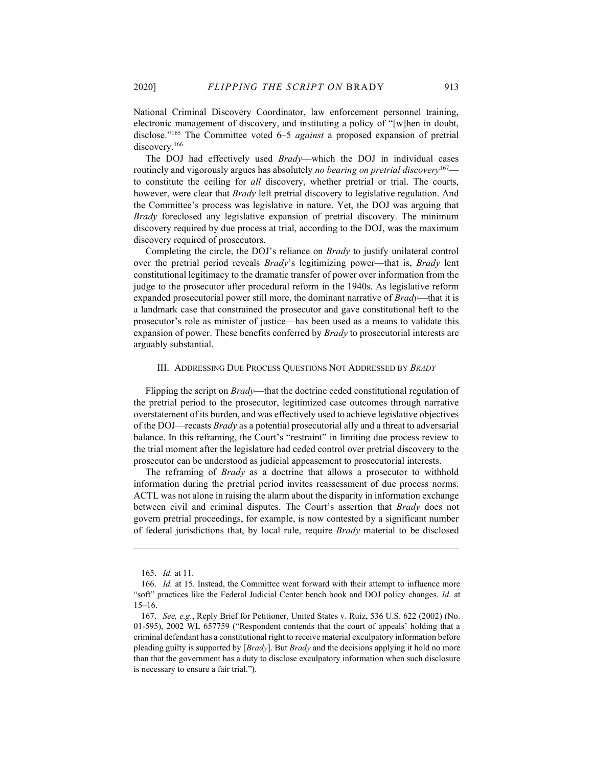National Criminal Discovery Coordinator, law enforcement personnel training, electronic management of discovery, and instituting a policy of "[w]hen in doubt, disclose."<sup>165</sup> The Committee voted 6–5 *against* a proposed expansion of pretrial discovery.<sup>166</sup>

The DOJ had effectively used *Brady*—which the DOJ in individual cases routinely and vigorously argues has absolutely no bearing on pretrial discovery<sup>167</sup> to constitute the ceiling for all discovery, whether pretrial or trial. The courts, however, were clear that *Brady* left pretrial discovery to legislative regulation. And the Committee's process was legislative in nature. Yet, the DOJ was arguing that Brady foreclosed any legislative expansion of pretrial discovery. The minimum discovery required by due process at trial, according to the DOJ, was the maximum discovery required of prosecutors.

Completing the circle, the DOJ's reliance on Brady to justify unilateral control over the pretrial period reveals *Brady's* legitimizing power—that is, *Brady* lent constitutional legitimacy to the dramatic transfer of power over information from the judge to the prosecutor after procedural reform in the 1940s. As legislative reform expanded prosecutorial power still more, the dominant narrative of *Brady*—that it is a landmark case that constrained the prosecutor and gave constitutional heft to the prosecutor's role as minister of justice—has been used as a means to validate this expansion of power. These benefits conferred by Brady to prosecutorial interests are arguably substantial.

#### III. ADDRESSING DUE PROCESS QUESTIONS NOT ADDRESSED BY BRADY

Flipping the script on Brady—that the doctrine ceded constitutional regulation of the pretrial period to the prosecutor, legitimized case outcomes through narrative overstatement of its burden, and was effectively used to achieve legislative objectives of the DOJ—recasts Brady as a potential prosecutorial ally and a threat to adversarial balance. In this reframing, the Court's "restraint" in limiting due process review to the trial moment after the legislature had ceded control over pretrial discovery to the prosecutor can be understood as judicial appeasement to prosecutorial interests.

The reframing of *Brady* as a doctrine that allows a prosecutor to withhold information during the pretrial period invites reassessment of due process norms. ACTL was not alone in raising the alarm about the disparity in information exchange between civil and criminal disputes. The Court's assertion that Brady does not govern pretrial proceedings, for example, is now contested by a significant number of federal jurisdictions that, by local rule, require Brady material to be disclosed

 <sup>165.</sup> Id. at 11.

 <sup>166.</sup> Id. at 15. Instead, the Committee went forward with their attempt to influence more "soft" practices like the Federal Judicial Center bench book and DOJ policy changes. Id. at 15–16.

 <sup>167.</sup> See, e.g., Reply Brief for Petitioner, United States v. Ruiz, 536 U.S. 622 (2002) (No. 01-595), 2002 WL 657759 ("Respondent contends that the court of appeals' holding that a criminal defendant has a constitutional right to receive material exculpatory information before pleading guilty is supported by [*Brady*]. But *Brady* and the decisions applying it hold no more than that the government has a duty to disclose exculpatory information when such disclosure is necessary to ensure a fair trial.").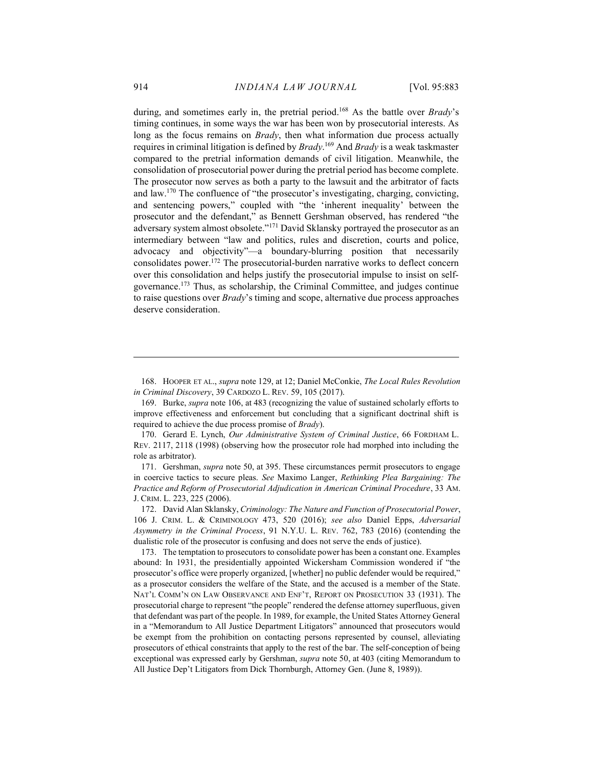during, and sometimes early in, the pretrial period.<sup>168</sup> As the battle over *Brady's* timing continues, in some ways the war has been won by prosecutorial interests. As long as the focus remains on *Brady*, then what information due process actually requires in criminal litigation is defined by *Brady*.<sup>169</sup> And *Brady* is a weak taskmaster compared to the pretrial information demands of civil litigation. Meanwhile, the consolidation of prosecutorial power during the pretrial period has become complete. The prosecutor now serves as both a party to the lawsuit and the arbitrator of facts and law.<sup>170</sup> The confluence of "the prosecutor's investigating, charging, convicting, and sentencing powers," coupled with "the 'inherent inequality' between the prosecutor and the defendant," as Bennett Gershman observed, has rendered "the adversary system almost obsolete."<sup>171</sup> David Sklansky portrayed the prosecutor as an intermediary between "law and politics, rules and discretion, courts and police, advocacy and objectivity"—a boundary-blurring position that necessarily consolidates power.<sup>172</sup> The prosecutorial-burden narrative works to deflect concern over this consolidation and helps justify the prosecutorial impulse to insist on selfgovernance.<sup>173</sup> Thus, as scholarship, the Criminal Committee, and judges continue to raise questions over Brady's timing and scope, alternative due process approaches deserve consideration.

 169. Burke, supra note 106, at 483 (recognizing the value of sustained scholarly efforts to improve effectiveness and enforcement but concluding that a significant doctrinal shift is required to achieve the due process promise of *Brady*).

170. Gerard E. Lynch, Our Administrative System of Criminal Justice, 66 FORDHAM L. REV. 2117, 2118 (1998) (observing how the prosecutor role had morphed into including the role as arbitrator).

171. Gershman, *supra* note 50, at 395. These circumstances permit prosecutors to engage in coercive tactics to secure pleas. See Maximo Langer, Rethinking Plea Bargaining: The Practice and Reform of Prosecutorial Adjudication in American Criminal Procedure, 33 AM. J. CRIM. L. 223, 225 (2006).

 172. David Alan Sklansky, Criminology: The Nature and Function of Prosecutorial Power, 106 J. CRIM. L. & CRIMINOLOGY 473, 520 (2016); see also Daniel Epps, Adversarial Asymmetry in the Criminal Process, 91 N.Y.U. L. REV. 762, 783 (2016) (contending the dualistic role of the prosecutor is confusing and does not serve the ends of justice).

 173. The temptation to prosecutors to consolidate power has been a constant one. Examples abound: In 1931, the presidentially appointed Wickersham Commission wondered if "the prosecutor's office were properly organized, [whether] no public defender would be required," as a prosecutor considers the welfare of the State, and the accused is a member of the State. NAT'L COMM'N ON LAW OBSERVANCE AND ENF'T, REPORT ON PROSECUTION 33 (1931). The prosecutorial charge to represent "the people" rendered the defense attorney superfluous, given that defendant was part of the people. In 1989, for example, the United States Attorney General in a "Memorandum to All Justice Department Litigators" announced that prosecutors would be exempt from the prohibition on contacting persons represented by counsel, alleviating prosecutors of ethical constraints that apply to the rest of the bar. The self-conception of being exceptional was expressed early by Gershman, *supra* note 50, at 403 (citing Memorandum to All Justice Dep't Litigators from Dick Thornburgh, Attorney Gen. (June 8, 1989)).

 <sup>168.</sup> HOOPER ET AL., supra note 129, at 12; Daniel McConkie, The Local Rules Revolution in Criminal Discovery, 39 CARDOZO L. REV. 59, 105 (2017).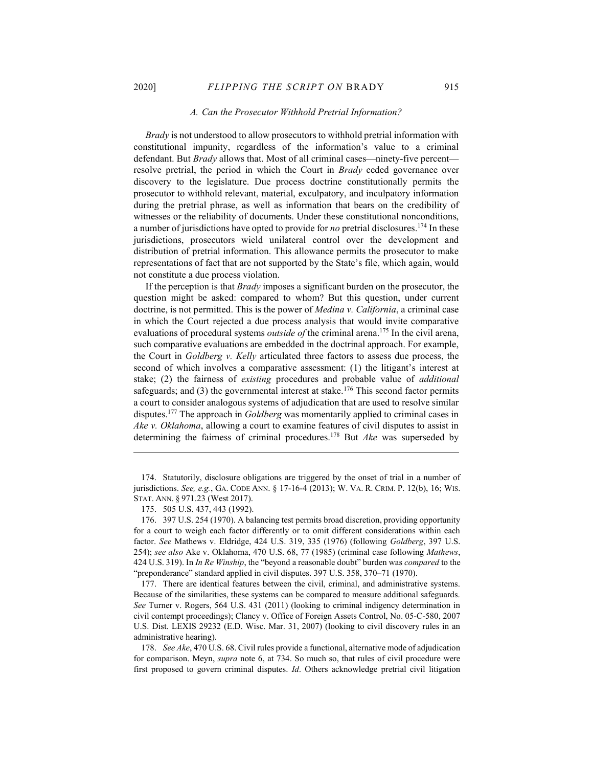#### A. Can the Prosecutor Withhold Pretrial Information?

Brady is not understood to allow prosecutors to withhold pretrial information with constitutional impunity, regardless of the information's value to a criminal defendant. But Brady allows that. Most of all criminal cases—ninety-five percent resolve pretrial, the period in which the Court in *Brady* ceded governance over discovery to the legislature. Due process doctrine constitutionally permits the prosecutor to withhold relevant, material, exculpatory, and inculpatory information during the pretrial phrase, as well as information that bears on the credibility of witnesses or the reliability of documents. Under these constitutional nonconditions, a number of jurisdictions have opted to provide for no pretrial disclosures.<sup>174</sup> In these jurisdictions, prosecutors wield unilateral control over the development and distribution of pretrial information. This allowance permits the prosecutor to make representations of fact that are not supported by the State's file, which again, would not constitute a due process violation.

If the perception is that *Brady* imposes a significant burden on the prosecutor, the question might be asked: compared to whom? But this question, under current doctrine, is not permitted. This is the power of *Medina v. California*, a criminal case in which the Court rejected a due process analysis that would invite comparative evaluations of procedural systems *outside of* the criminal arena.<sup>175</sup> In the civil arena, such comparative evaluations are embedded in the doctrinal approach. For example, the Court in Goldberg v. Kelly articulated three factors to assess due process, the second of which involves a comparative assessment: (1) the litigant's interest at stake; (2) the fairness of existing procedures and probable value of additional safeguards; and  $(3)$  the governmental interest at stake.<sup>176</sup> This second factor permits a court to consider analogous systems of adjudication that are used to resolve similar disputes.<sup>177</sup> The approach in *Goldberg* was momentarily applied to criminal cases in Ake v. Oklahoma, allowing a court to examine features of civil disputes to assist in determining the fairness of criminal procedures.<sup>178</sup> But *Ake* was superseded by

 <sup>174.</sup> Statutorily, disclosure obligations are triggered by the onset of trial in a number of jurisdictions. See, e.g., GA. CODE ANN. § 17-16-4 (2013); W. VA. R. CRIM. P. 12(b), 16; WIS. STAT. ANN. § 971.23 (West 2017).

 <sup>175. 505</sup> U.S. 437, 443 (1992).

 <sup>176. 397</sup> U.S. 254 (1970). A balancing test permits broad discretion, providing opportunity for a court to weigh each factor differently or to omit different considerations within each factor. See Mathews v. Eldridge, 424 U.S. 319, 335 (1976) (following Goldberg, 397 U.S. 254); see also Ake v. Oklahoma, 470 U.S. 68, 77 (1985) (criminal case following Mathews, 424 U.S. 319). In In Re Winship, the "beyond a reasonable doubt" burden was *compared* to the "preponderance" standard applied in civil disputes. 397 U.S. 358, 370–71 (1970).

 <sup>177.</sup> There are identical features between the civil, criminal, and administrative systems. Because of the similarities, these systems can be compared to measure additional safeguards. See Turner v. Rogers, 564 U.S. 431 (2011) (looking to criminal indigency determination in civil contempt proceedings); Clancy v. Office of Foreign Assets Control, No. 05-C-580, 2007 U.S. Dist. LEXIS 29232 (E.D. Wisc. Mar. 31, 2007) (looking to civil discovery rules in an administrative hearing).

<sup>178.</sup> See Ake, 470 U.S. 68. Civil rules provide a functional, alternative mode of adjudication for comparison. Meyn, supra note 6, at 734. So much so, that rules of civil procedure were first proposed to govern criminal disputes. Id. Others acknowledge pretrial civil litigation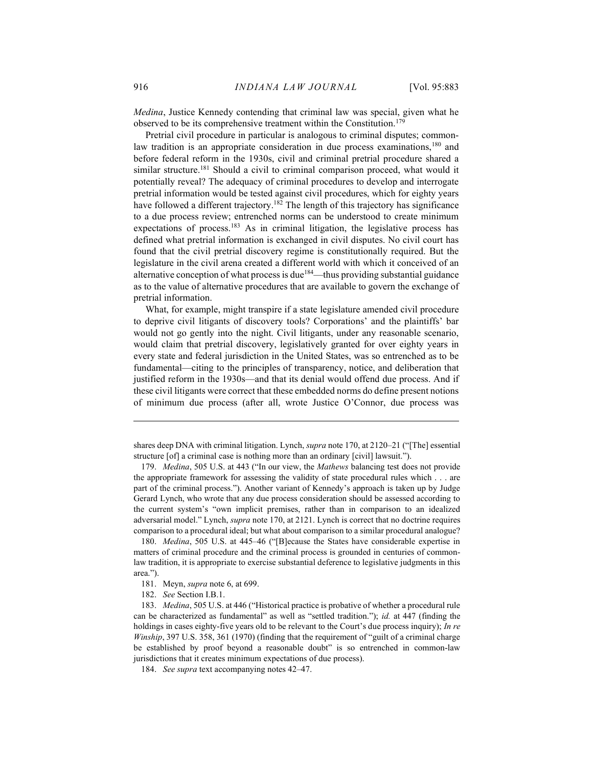Medina, Justice Kennedy contending that criminal law was special, given what he observed to be its comprehensive treatment within the Constitution.<sup>17</sup>

Pretrial civil procedure in particular is analogous to criminal disputes; commonlaw tradition is an appropriate consideration in due process examinations,<sup>180</sup> and before federal reform in the 1930s, civil and criminal pretrial procedure shared a similar structure.<sup>181</sup> Should a civil to criminal comparison proceed, what would it potentially reveal? The adequacy of criminal procedures to develop and interrogate pretrial information would be tested against civil procedures, which for eighty years have followed a different trajectory.<sup>182</sup> The length of this trajectory has significance to a due process review; entrenched norms can be understood to create minimum expectations of process.<sup>183</sup> As in criminal litigation, the legislative process has defined what pretrial information is exchanged in civil disputes. No civil court has found that the civil pretrial discovery regime is constitutionally required. But the legislature in the civil arena created a different world with which it conceived of an alternative conception of what process is due<sup>184</sup>—thus providing substantial guidance as to the value of alternative procedures that are available to govern the exchange of pretrial information.

What, for example, might transpire if a state legislature amended civil procedure to deprive civil litigants of discovery tools? Corporations' and the plaintiffs' bar would not go gently into the night. Civil litigants, under any reasonable scenario, would claim that pretrial discovery, legislatively granted for over eighty years in every state and federal jurisdiction in the United States, was so entrenched as to be fundamental—citing to the principles of transparency, notice, and deliberation that justified reform in the 1930s—and that its denial would offend due process. And if these civil litigants were correct that these embedded norms do define present notions of minimum due process (after all, wrote Justice O'Connor, due process was

180. *Medina*, 505 U.S. at 445–46 ("[B]ecause the States have considerable expertise in matters of criminal procedure and the criminal process is grounded in centuries of commonlaw tradition, it is appropriate to exercise substantial deference to legislative judgments in this area.").

shares deep DNA with criminal litigation. Lynch, *supra* note 170, at 2120–21 ("The] essential structure [of] a criminal case is nothing more than an ordinary [civil] lawsuit.").

<sup>179.</sup> Medina, 505 U.S. at 443 ("In our view, the *Mathews* balancing test does not provide the appropriate framework for assessing the validity of state procedural rules which . . . are part of the criminal process."). Another variant of Kennedy's approach is taken up by Judge Gerard Lynch, who wrote that any due process consideration should be assessed according to the current system's "own implicit premises, rather than in comparison to an idealized adversarial model." Lynch, supra note 170, at 2121. Lynch is correct that no doctrine requires comparison to a procedural ideal; but what about comparison to a similar procedural analogue?

 <sup>181.</sup> Meyn, supra note 6, at 699.

 <sup>182.</sup> See Section I.B.1.

 <sup>183.</sup> Medina, 505 U.S. at 446 ("Historical practice is probative of whether a procedural rule can be characterized as fundamental" as well as "settled tradition."); id. at 447 (finding the holdings in cases eighty-five years old to be relevant to the Court's due process inquiry); In re Winship, 397 U.S. 358, 361 (1970) (finding that the requirement of "guilt of a criminal charge be established by proof beyond a reasonable doubt" is so entrenched in common-law jurisdictions that it creates minimum expectations of due process).

 <sup>184.</sup> See supra text accompanying notes 42–47.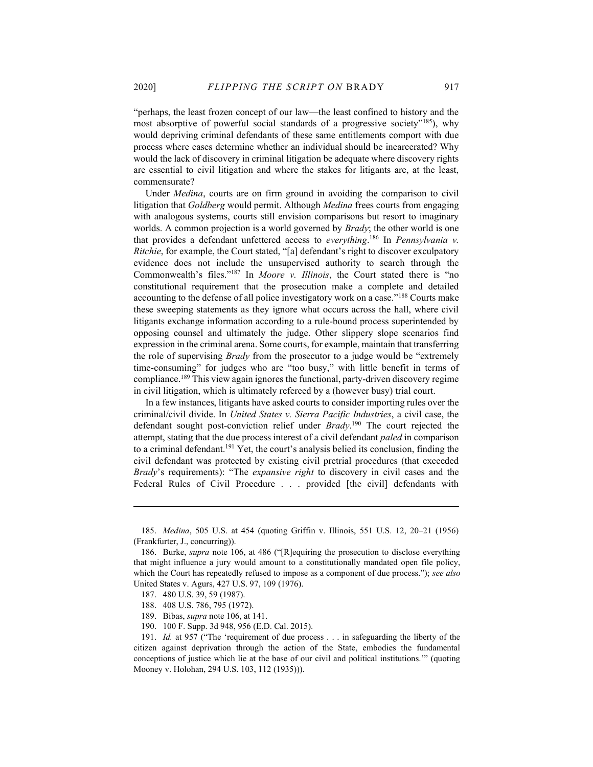"perhaps, the least frozen concept of our law—the least confined to history and the most absorptive of powerful social standards of a progressive society"<sup>185</sup>), why would depriving criminal defendants of these same entitlements comport with due process where cases determine whether an individual should be incarcerated? Why would the lack of discovery in criminal litigation be adequate where discovery rights are essential to civil litigation and where the stakes for litigants are, at the least, commensurate?

Under *Medina*, courts are on firm ground in avoiding the comparison to civil litigation that Goldberg would permit. Although Medina frees courts from engaging with analogous systems, courts still envision comparisons but resort to imaginary worlds. A common projection is a world governed by *Brady*; the other world is one that provides a defendant unfettered access to everything.<sup>186</sup> In Pennsylvania v. Ritchie, for example, the Court stated, "[a] defendant's right to discover exculpatory evidence does not include the unsupervised authority to search through the Commonwealth's files."<sup>187</sup> In Moore v. Illinois, the Court stated there is "no constitutional requirement that the prosecution make a complete and detailed accounting to the defense of all police investigatory work on a case."<sup>188</sup> Courts make these sweeping statements as they ignore what occurs across the hall, where civil litigants exchange information according to a rule-bound process superintended by opposing counsel and ultimately the judge. Other slippery slope scenarios find expression in the criminal arena. Some courts, for example, maintain that transferring the role of supervising Brady from the prosecutor to a judge would be "extremely time-consuming" for judges who are "too busy," with little benefit in terms of compliance.<sup>189</sup> This view again ignores the functional, party-driven discovery regime in civil litigation, which is ultimately refereed by a (however busy) trial court.

In a few instances, litigants have asked courts to consider importing rules over the criminal/civil divide. In United States v. Sierra Pacific Industries, a civil case, the defendant sought post-conviction relief under Brady.<sup>190</sup> The court rejected the attempt, stating that the due process interest of a civil defendant paled in comparison to a criminal defendant.<sup>191</sup> Yet, the court's analysis belied its conclusion, finding the civil defendant was protected by existing civil pretrial procedures (that exceeded Brady's requirements): "The *expansive right* to discovery in civil cases and the Federal Rules of Civil Procedure . . . provided [the civil] defendants with

 <sup>185.</sup> Medina, 505 U.S. at 454 (quoting Griffin v. Illinois, 551 U.S. 12, 20–21 (1956) (Frankfurter, J., concurring)).

<sup>186.</sup> Burke, *supra* note 106, at 486 ("[R]equiring the prosecution to disclose everything that might influence a jury would amount to a constitutionally mandated open file policy, which the Court has repeatedly refused to impose as a component of due process."); see also United States v. Agurs, 427 U.S. 97, 109 (1976).

 <sup>187. 480</sup> U.S. 39, 59 (1987).

 <sup>188. 408</sup> U.S. 786, 795 (1972).

 <sup>189.</sup> Bibas, supra note 106, at 141.

 <sup>190. 100</sup> F. Supp. 3d 948, 956 (E.D. Cal. 2015).

 <sup>191.</sup> Id. at 957 ("The 'requirement of due process . . . in safeguarding the liberty of the citizen against deprivation through the action of the State, embodies the fundamental conceptions of justice which lie at the base of our civil and political institutions.'" (quoting Mooney v. Holohan, 294 U.S. 103, 112 (1935))).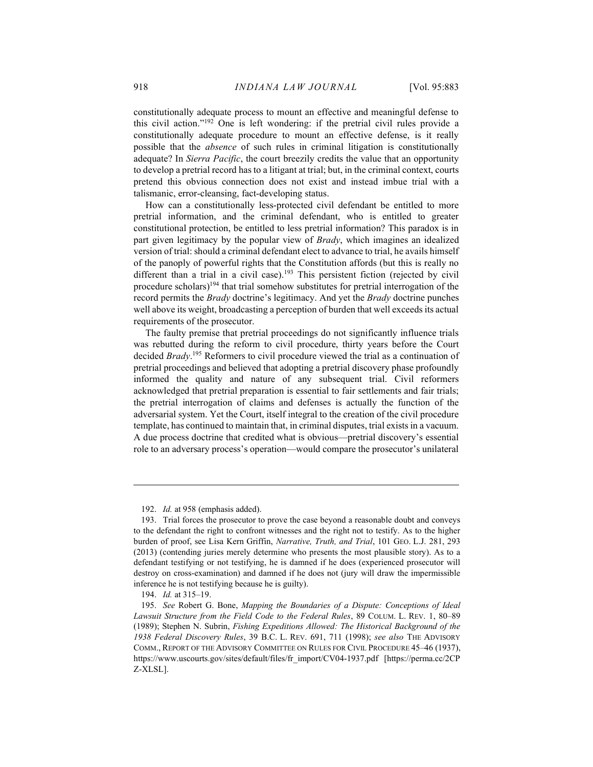constitutionally adequate process to mount an effective and meaningful defense to this civil action."<sup>192</sup> One is left wondering: if the pretrial civil rules provide a constitutionally adequate procedure to mount an effective defense, is it really possible that the absence of such rules in criminal litigation is constitutionally adequate? In Sierra Pacific, the court breezily credits the value that an opportunity to develop a pretrial record has to a litigant at trial; but, in the criminal context, courts pretend this obvious connection does not exist and instead imbue trial with a talismanic, error-cleansing, fact-developing status.

How can a constitutionally less-protected civil defendant be entitled to more pretrial information, and the criminal defendant, who is entitled to greater constitutional protection, be entitled to less pretrial information? This paradox is in part given legitimacy by the popular view of Brady, which imagines an idealized version of trial: should a criminal defendant elect to advance to trial, he avails himself of the panoply of powerful rights that the Constitution affords (but this is really no different than a trial in a civil case).<sup>193</sup> This persistent fiction (rejected by civil procedure scholars)<sup>194</sup> that trial somehow substitutes for pretrial interrogation of the record permits the Brady doctrine's legitimacy. And yet the Brady doctrine punches well above its weight, broadcasting a perception of burden that well exceeds its actual requirements of the prosecutor.

The faulty premise that pretrial proceedings do not significantly influence trials was rebutted during the reform to civil procedure, thirty years before the Court decided Brady.<sup>195</sup> Reformers to civil procedure viewed the trial as a continuation of pretrial proceedings and believed that adopting a pretrial discovery phase profoundly informed the quality and nature of any subsequent trial. Civil reformers acknowledged that pretrial preparation is essential to fair settlements and fair trials; the pretrial interrogation of claims and defenses is actually the function of the adversarial system. Yet the Court, itself integral to the creation of the civil procedure template, has continued to maintain that, in criminal disputes, trial exists in a vacuum. A due process doctrine that credited what is obvious—pretrial discovery's essential role to an adversary process's operation—would compare the prosecutor's unilateral

 <sup>192.</sup> Id. at 958 (emphasis added).

 <sup>193.</sup> Trial forces the prosecutor to prove the case beyond a reasonable doubt and conveys to the defendant the right to confront witnesses and the right not to testify. As to the higher burden of proof, see Lisa Kern Griffin, Narrative, Truth, and Trial, 101 GEO. L.J. 281, 293 (2013) (contending juries merely determine who presents the most plausible story). As to a defendant testifying or not testifying, he is damned if he does (experienced prosecutor will destroy on cross-examination) and damned if he does not (jury will draw the impermissible inference he is not testifying because he is guilty).

 <sup>194.</sup> Id. at 315–19.

 <sup>195.</sup> See Robert G. Bone, Mapping the Boundaries of a Dispute: Conceptions of Ideal Lawsuit Structure from the Field Code to the Federal Rules, 89 COLUM. L. REV. 1, 80–89 (1989); Stephen N. Subrin, Fishing Expeditions Allowed: The Historical Background of the 1938 Federal Discovery Rules, 39 B.C. L. REV. 691, 711 (1998); see also THE ADVISORY COMM., REPORT OF THE ADVISORY COMMITTEE ON RULES FOR CIVIL PROCEDURE 45–46 (1937), https://www.uscourts.gov/sites/default/files/fr\_import/CV04-1937.pdf [https://perma.cc/2CP Z-XLSL].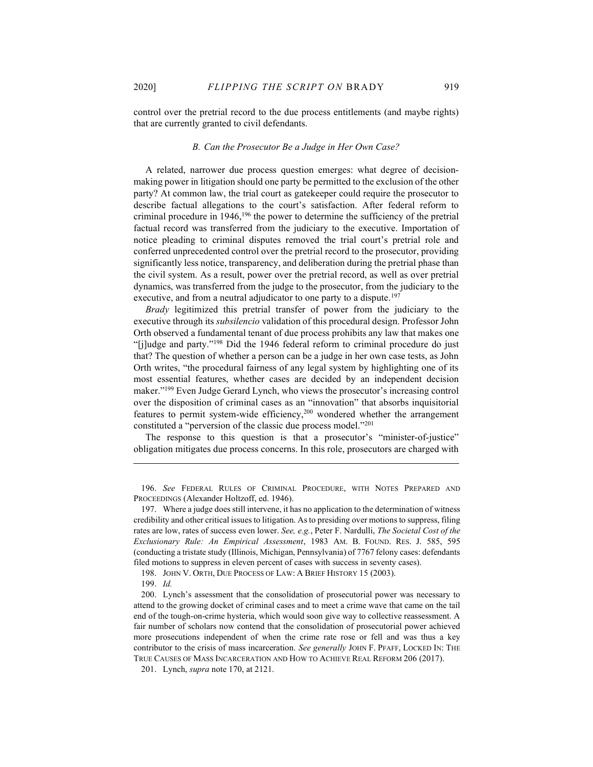control over the pretrial record to the due process entitlements (and maybe rights) that are currently granted to civil defendants.

#### B. Can the Prosecutor Be a Judge in Her Own Case?

A related, narrower due process question emerges: what degree of decisionmaking power in litigation should one party be permitted to the exclusion of the other party? At common law, the trial court as gatekeeper could require the prosecutor to describe factual allegations to the court's satisfaction. After federal reform to criminal procedure in  $1946$ ,<sup>196</sup> the power to determine the sufficiency of the pretrial factual record was transferred from the judiciary to the executive. Importation of notice pleading to criminal disputes removed the trial court's pretrial role and conferred unprecedented control over the pretrial record to the prosecutor, providing significantly less notice, transparency, and deliberation during the pretrial phase than the civil system. As a result, power over the pretrial record, as well as over pretrial dynamics, was transferred from the judge to the prosecutor, from the judiciary to the executive, and from a neutral adjudicator to one party to a dispute.<sup>197</sup>

Brady legitimized this pretrial transfer of power from the judiciary to the executive through its subsilencio validation of this procedural design. Professor John Orth observed a fundamental tenant of due process prohibits any law that makes one "[j]udge and party."<sup>198</sup> Did the 1946 federal reform to criminal procedure do just that? The question of whether a person can be a judge in her own case tests, as John Orth writes, "the procedural fairness of any legal system by highlighting one of its most essential features, whether cases are decided by an independent decision maker."<sup>199</sup> Even Judge Gerard Lynch, who views the prosecutor's increasing control over the disposition of criminal cases as an "innovation" that absorbs inquisitorial features to permit system-wide efficiency,<sup>200</sup> wondered whether the arrangement constituted a "perversion of the classic due process model."<sup>201</sup>

The response to this question is that a prosecutor's "minister-of-justice" obligation mitigates due process concerns. In this role, prosecutors are charged with

 <sup>196.</sup> See FEDERAL RULES OF CRIMINAL PROCEDURE, WITH NOTES PREPARED AND PROCEEDINGS (Alexander Holtzoff, ed. 1946).

 <sup>197.</sup> Where a judge does still intervene, it has no application to the determination of witness credibility and other critical issues to litigation. As to presiding over motions to suppress, filing rates are low, rates of success even lower. See, e.g., Peter F. Nardulli, The Societal Cost of the Exclusionary Rule: An Empirical Assessment, 1983 AM. B. FOUND. RES. J. 585, 595 (conducting a tristate study (Illinois, Michigan, Pennsylvania) of 7767 felony cases: defendants filed motions to suppress in eleven percent of cases with success in seventy cases).

 <sup>198.</sup> JOHN V. ORTH, DUE PROCESS OF LAW: A BRIEF HISTORY 15 (2003).

 <sup>199.</sup> Id.

 <sup>200.</sup> Lynch's assessment that the consolidation of prosecutorial power was necessary to attend to the growing docket of criminal cases and to meet a crime wave that came on the tail end of the tough-on-crime hysteria, which would soon give way to collective reassessment. A fair number of scholars now contend that the consolidation of prosecutorial power achieved more prosecutions independent of when the crime rate rose or fell and was thus a key contributor to the crisis of mass incarceration. See generally JOHN F. PFAFF, LOCKED IN: THE TRUE CAUSES OF MASS INCARCERATION AND HOW TO ACHIEVE REAL REFORM 206 (2017).

 <sup>201.</sup> Lynch, supra note 170, at 2121.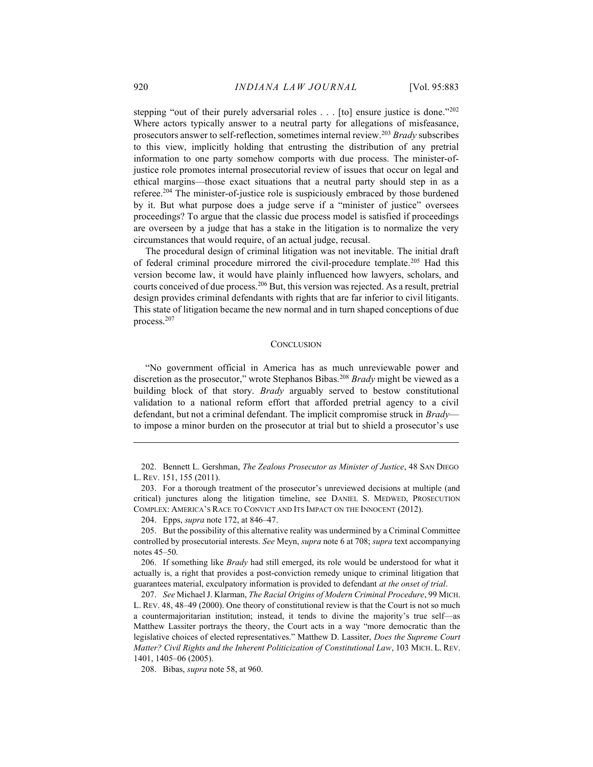stepping "out of their purely adversarial roles . . . [to] ensure justice is done."202 Where actors typically answer to a neutral party for allegations of misfeasance, prosecutors answer to self-reflection, sometimes internal review.<sup>203</sup> Brady subscribes to this view, implicitly holding that entrusting the distribution of any pretrial information to one party somehow comports with due process. The minister-ofjustice role promotes internal prosecutorial review of issues that occur on legal and ethical margins—those exact situations that a neutral party should step in as a referee.<sup>204</sup> The minister-of-justice role is suspiciously embraced by those burdened by it. But what purpose does a judge serve if a "minister of justice" oversees proceedings? To argue that the classic due process model is satisfied if proceedings are overseen by a judge that has a stake in the litigation is to normalize the very circumstances that would require, of an actual judge, recusal.

The procedural design of criminal litigation was not inevitable. The initial draft of federal criminal procedure mirrored the civil-procedure template.<sup>205</sup> Had this version become law, it would have plainly influenced how lawyers, scholars, and courts conceived of due process.<sup>206</sup> But, this version was rejected. As a result, pretrial design provides criminal defendants with rights that are far inferior to civil litigants. This state of litigation became the new normal and in turn shaped conceptions of due process.<sup>207</sup>

#### **CONCLUSION**

"No government official in America has as much unreviewable power and discretion as the prosecutor," wrote Stephanos Bibas.<sup>208</sup> Brady might be viewed as a building block of that story. Brady arguably served to bestow constitutional validation to a national reform effort that afforded pretrial agency to a civil defendant, but not a criminal defendant. The implicit compromise struck in Bradyto impose a minor burden on the prosecutor at trial but to shield a prosecutor's use

204. Epps, supra note 172, at 846–47.

208. Bibas, supra note 58, at 960.

<sup>202.</sup> Bennett L. Gershman, The Zealous Prosecutor as Minister of Justice, 48 SAN DIEGO L. REV. 151, 155 (2011).

 <sup>203.</sup> For a thorough treatment of the prosecutor's unreviewed decisions at multiple (and critical) junctures along the litigation timeline, see DANIEL S. MEDWED, PROSECUTION COMPLEX: AMERICA'S RACE TO CONVICT AND ITS IMPACT ON THE INNOCENT (2012).

 <sup>205.</sup> But the possibility of this alternative reality was undermined by a Criminal Committee controlled by prosecutorial interests. See Meyn, supra note 6 at 708; supra text accompanying notes 45–50.

<sup>206.</sup> If something like *Brady* had still emerged, its role would be understood for what it actually is, a right that provides a post-conviction remedy unique to criminal litigation that guarantees material, exculpatory information is provided to defendant at the onset of trial.

 <sup>207.</sup> See Michael J. Klarman, The Racial Origins of Modern Criminal Procedure, 99 MICH. L. REV. 48, 48–49 (2000). One theory of constitutional review is that the Court is not so much a countermajoritarian institution; instead, it tends to divine the majority's true self—as Matthew Lassiter portrays the theory, the Court acts in a way "more democratic than the legislative choices of elected representatives." Matthew D. Lassiter, Does the Supreme Court Matter? Civil Rights and the Inherent Politicization of Constitutional Law, 103 MICH. L. REV. 1401, 1405–06 (2005).